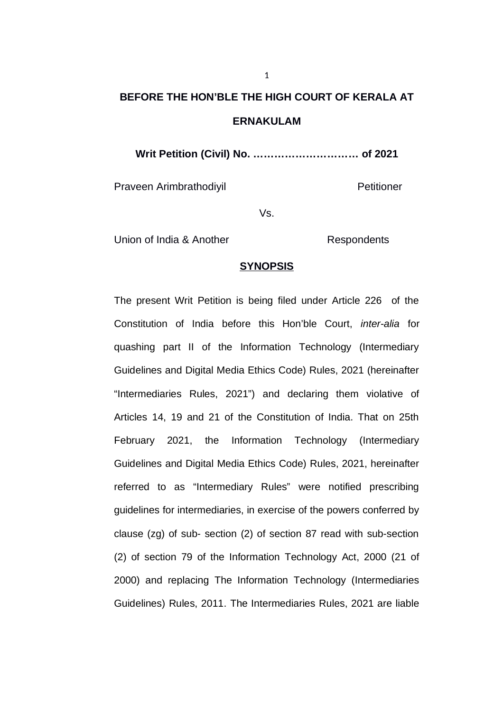## **BEFORE THE HON'BLE THE HIGH COURT OF KERALA AT ERNAKULAM**

**Writ Petition (Civil) No. ………………………… of 2021**

Praveen Arimbrathodiyil **Praveen Arimbrathodiyil** 

Vs.

Union of India & Another **Respondents** 

### **SYNOPSIS**

The present Writ Petition is being filed under Article 226 of the Constitution of India before this Hon'ble Court, *inter-alia* for quashing part II of the Information Technology (Intermediary Guidelines and Digital Media Ethics Code) Rules, 2021 (hereinafter "Intermediaries Rules, 2021") and declaring them violative of Articles 14, 19 and 21 of the Constitution of India. That on 25th February 2021, the Information Technology (Intermediary Guidelines and Digital Media Ethics Code) Rules, 2021, hereinafter referred to as "Intermediary Rules" were notified prescribing guidelines for intermediaries, in exercise of the powers conferred by clause (zg) of sub- section (2) of section 87 read with sub-section (2) of section 79 of the Information Technology Act, 2000 (21 of 2000) and replacing The Information Technology (Intermediaries Guidelines) Rules, 2011. The Intermediaries Rules, 2021 are liable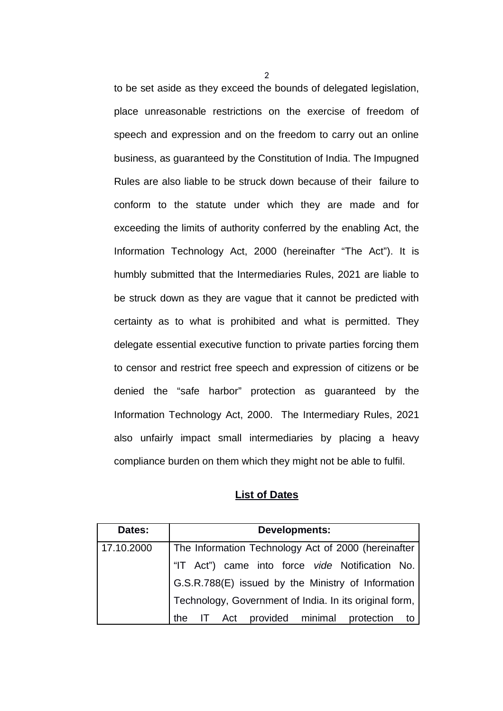to be set aside as they exceed the bounds of delegated legislation, place unreasonable restrictions on the exercise of freedom of speech and expression and on the freedom to carry out an online business, as guaranteed by the Constitution of India. The Impugned Rules are also liable to be struck down because of their failure to conform to the statute under which they are made and for exceeding the limits of authority conferred by the enabling Act, the Information Technology Act, 2000 (hereinafter "The Act"). It is humbly submitted that the Intermediaries Rules, 2021 are liable to be struck down as they are vague that it cannot be predicted with certainty as to what is prohibited and what is permitted. They delegate essential executive function to private parties forcing them to censor and restrict free speech and expression of citizens or be denied the "safe harbor" protection as guaranteed by the Information Technology Act, 2000. The Intermediary Rules, 2021 also unfairly impact small intermediaries by placing a heavy compliance burden on them which they might not be able to fulfil.

#### **List of Dates**

| Dates:     | <b>Developments:</b>                                   |  |  |  |  |  |  |  |  |
|------------|--------------------------------------------------------|--|--|--|--|--|--|--|--|
| 17.10.2000 | The Information Technology Act of 2000 (hereinafter    |  |  |  |  |  |  |  |  |
|            | "IT Act") came into force vide Notification No.        |  |  |  |  |  |  |  |  |
|            | G.S.R.788(E) issued by the Ministry of Information     |  |  |  |  |  |  |  |  |
|            | Technology, Government of India. In its original form, |  |  |  |  |  |  |  |  |
|            | provided minimal protection<br>the<br>Act<br>to        |  |  |  |  |  |  |  |  |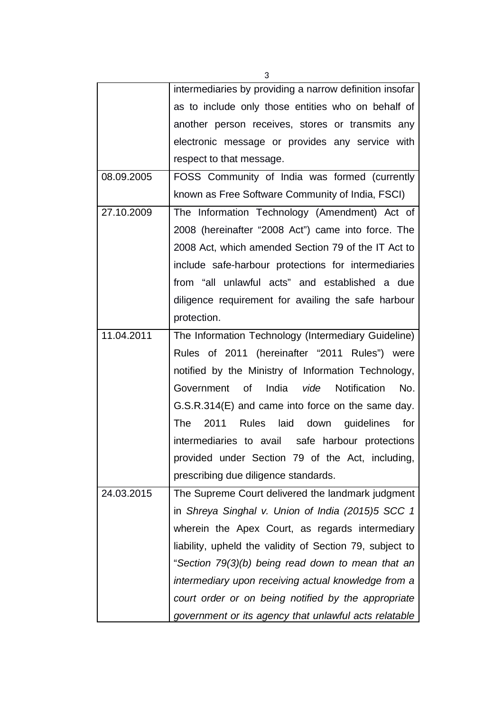intermediaries by providing a narrow definition insofar as to include only those entities who on behalf of another person receives, stores or transmits any electronic message or provides any service with respect to that message. 08.09.2005 FOSS Community of India was formed (currently known as Free Software Community of India, FSCI) 27.10.2009 The Information Technology (Amendment) Act of 2008 (hereinafter "2008 Act") came into force. The 2008 Act, which amended Section 79 of the IT Act to include safe-harbour protections for intermediaries from "all unlawful acts" and established a due diligence requirement for availing the safe harbour protection. 11.04.2011 The Information Technology (Intermediary Guideline) Rules of 2011 (hereinafter "2011 Rules") were notified by the Ministry of Information Technology, Government of India *vide* Notification No. G.S.R.314(E) and came into force on the same day. The 2011 Rules laid down guidelines for intermediaries to avail safe harbour protections provided under Section 79 of the Act, including, prescribing due diligence standards. 24.03.2015 The Supreme Court delivered the landmark judgment in *Shreya Singhal v. Union of India (2015)5 SCC 1* wherein the Apex Court, as regards intermediary liability, upheld the validity of Section 79, subject to "*Section 79(3)(b) being read down to mean that an intermediary upon receiving actual knowledge from a court order or on being notified by the appropriate government or its agency that unlawful acts relatable*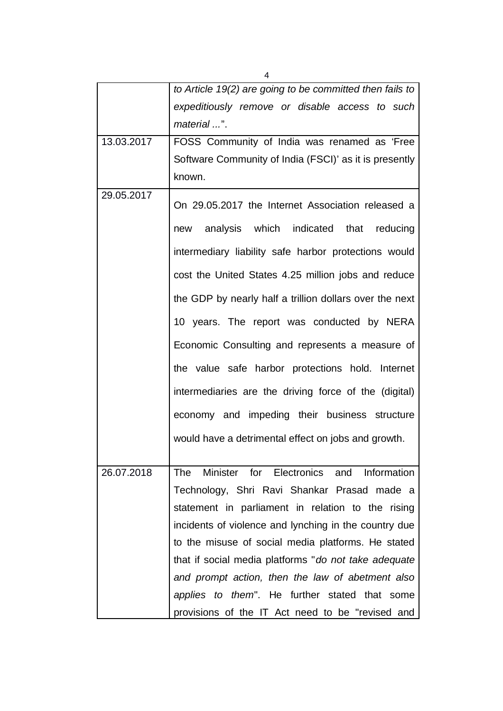|            | to Article 19(2) are going to be committed then fails to  |  |  |  |  |  |  |  |  |
|------------|-----------------------------------------------------------|--|--|--|--|--|--|--|--|
|            | expeditiously remove or disable access to such            |  |  |  |  |  |  |  |  |
|            | material ".                                               |  |  |  |  |  |  |  |  |
| 13.03.2017 | FOSS Community of India was renamed as 'Free              |  |  |  |  |  |  |  |  |
|            | Software Community of India (FSCI)' as it is presently    |  |  |  |  |  |  |  |  |
|            | known.                                                    |  |  |  |  |  |  |  |  |
| 29.05.2017 | On 29.05.2017 the Internet Association released a         |  |  |  |  |  |  |  |  |
|            | new analysis which indicated that reducing                |  |  |  |  |  |  |  |  |
|            | intermediary liability safe harbor protections would      |  |  |  |  |  |  |  |  |
|            | cost the United States 4.25 million jobs and reduce       |  |  |  |  |  |  |  |  |
|            | the GDP by nearly half a trillion dollars over the next   |  |  |  |  |  |  |  |  |
|            | 10 years. The report was conducted by NERA                |  |  |  |  |  |  |  |  |
|            | Economic Consulting and represents a measure of           |  |  |  |  |  |  |  |  |
|            | the value safe harbor protections hold. Internet          |  |  |  |  |  |  |  |  |
|            | intermediaries are the driving force of the (digital)     |  |  |  |  |  |  |  |  |
|            | economy and impeding their business structure             |  |  |  |  |  |  |  |  |
|            | would have a detrimental effect on jobs and growth.       |  |  |  |  |  |  |  |  |
| 26.07.2018 | Minister for Electronics and<br><b>The</b><br>Information |  |  |  |  |  |  |  |  |
|            | Technology, Shri Ravi Shankar Prasad made a               |  |  |  |  |  |  |  |  |
|            | statement in parliament in relation to the rising         |  |  |  |  |  |  |  |  |
|            | incidents of violence and lynching in the country due     |  |  |  |  |  |  |  |  |
|            | to the misuse of social media platforms. He stated        |  |  |  |  |  |  |  |  |
|            | that if social media platforms "do not take adequate      |  |  |  |  |  |  |  |  |
|            | and prompt action, then the law of abetment also          |  |  |  |  |  |  |  |  |
|            | applies to them". He further stated that some             |  |  |  |  |  |  |  |  |
|            | provisions of the IT Act need to be "revised and          |  |  |  |  |  |  |  |  |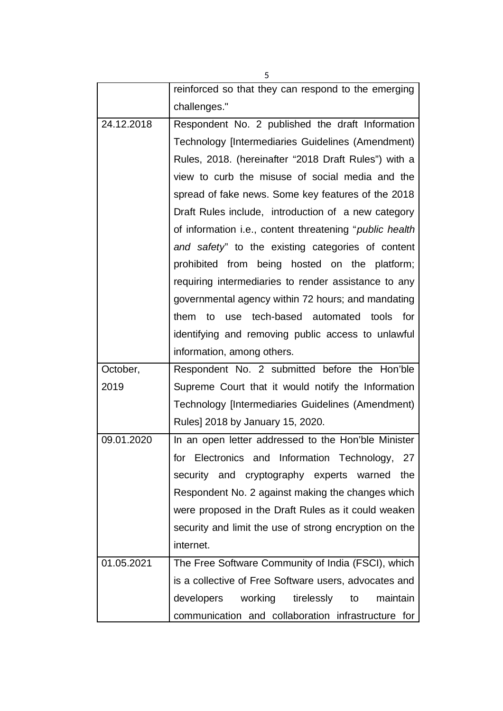reinforced so that they can respond to the emerging challenges." 24.12.2018 Respondent No. 2 published the draft Information Technology [Intermediaries Guidelines (Amendment) Rules, 2018. (hereinafter "2018 Draft Rules") with a view to curb the misuse of social media and the spread of fake news. Some key features of the 2018 Draft Rules include, introduction of a new category of information i.e., content threatening "*public health and safety*" to the existing categories of content prohibited from being hosted on the platform; requiring intermediaries to render assistance to any governmental agency within 72 hours; and mandating them to use tech-based automated tools for identifying and removing public access to unlawful information, among others. October, 2019 Respondent No. 2 submitted before the Hon'ble Supreme Court that it would notify the Information Technology [Intermediaries Guidelines (Amendment) Rules] 2018 by January 15, 2020. 09.01.2020 In an open letter addressed to the Hon'ble Minister for Electronics and Information Technology, 27 security and cryptography experts warned the Respondent No. 2 against making the changes which were proposed in the Draft Rules as it could weaken security and limit the use of strong encryption on the internet. 01.05.2021 | The Free Software Community of India (FSCI), which is a collective of Free Software users, advocates and developers working tirelessly to maintain communication and collaboration infrastructure for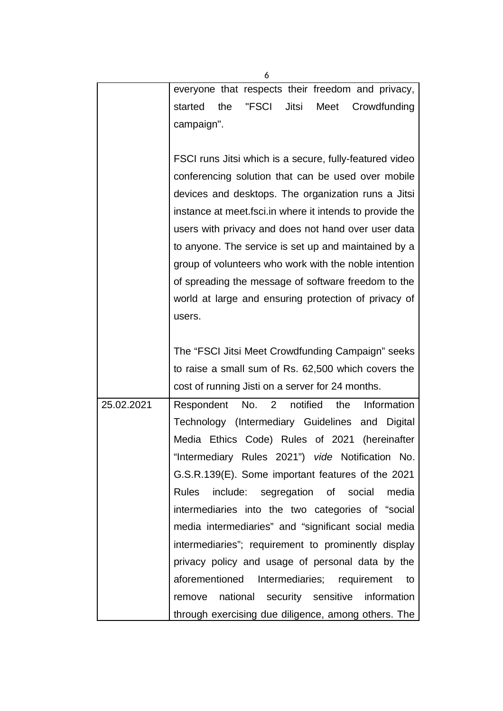|            | 6                                                         |  |  |  |  |  |  |  |  |
|------------|-----------------------------------------------------------|--|--|--|--|--|--|--|--|
|            | everyone that respects their freedom and privacy,         |  |  |  |  |  |  |  |  |
|            | the<br>"FSCI<br>Jitsi<br>Meet<br>started<br>Crowdfunding  |  |  |  |  |  |  |  |  |
|            | campaign".                                                |  |  |  |  |  |  |  |  |
|            |                                                           |  |  |  |  |  |  |  |  |
|            | FSCI runs Jitsi which is a secure, fully-featured video   |  |  |  |  |  |  |  |  |
|            | conferencing solution that can be used over mobile        |  |  |  |  |  |  |  |  |
|            | devices and desktops. The organization runs a Jitsi       |  |  |  |  |  |  |  |  |
|            | instance at meet fsci. in where it intends to provide the |  |  |  |  |  |  |  |  |
|            | users with privacy and does not hand over user data       |  |  |  |  |  |  |  |  |
|            | to anyone. The service is set up and maintained by a      |  |  |  |  |  |  |  |  |
|            | group of volunteers who work with the noble intention     |  |  |  |  |  |  |  |  |
|            | of spreading the message of software freedom to the       |  |  |  |  |  |  |  |  |
|            | world at large and ensuring protection of privacy of      |  |  |  |  |  |  |  |  |
|            | users.                                                    |  |  |  |  |  |  |  |  |
|            |                                                           |  |  |  |  |  |  |  |  |
|            | The "FSCI Jitsi Meet Crowdfunding Campaign" seeks         |  |  |  |  |  |  |  |  |
|            | to raise a small sum of Rs. 62,500 which covers the       |  |  |  |  |  |  |  |  |
|            | cost of running Jisti on a server for 24 months.          |  |  |  |  |  |  |  |  |
| 25.02.2021 | Respondent No. 2 notified<br>Information<br>the           |  |  |  |  |  |  |  |  |
|            | Technology (Intermediary Guidelines and<br>Digital        |  |  |  |  |  |  |  |  |
|            | Media Ethics Code) Rules of 2021 (hereinafter             |  |  |  |  |  |  |  |  |
|            | "Intermediary Rules 2021") vide Notification No.          |  |  |  |  |  |  |  |  |
|            | G.S.R.139(E). Some important features of the 2021         |  |  |  |  |  |  |  |  |
|            | include: segregation of social<br>Rules<br>media          |  |  |  |  |  |  |  |  |
|            | intermediaries into the two categories of "social         |  |  |  |  |  |  |  |  |
|            | media intermediaries" and "significant social media       |  |  |  |  |  |  |  |  |
|            | intermediaries"; requirement to prominently display       |  |  |  |  |  |  |  |  |
|            | privacy policy and usage of personal data by the          |  |  |  |  |  |  |  |  |
|            | aforementioned Intermediaries; requirement<br>to          |  |  |  |  |  |  |  |  |
|            | national security sensitive information<br>remove         |  |  |  |  |  |  |  |  |
|            | through exercising due diligence, among others. The       |  |  |  |  |  |  |  |  |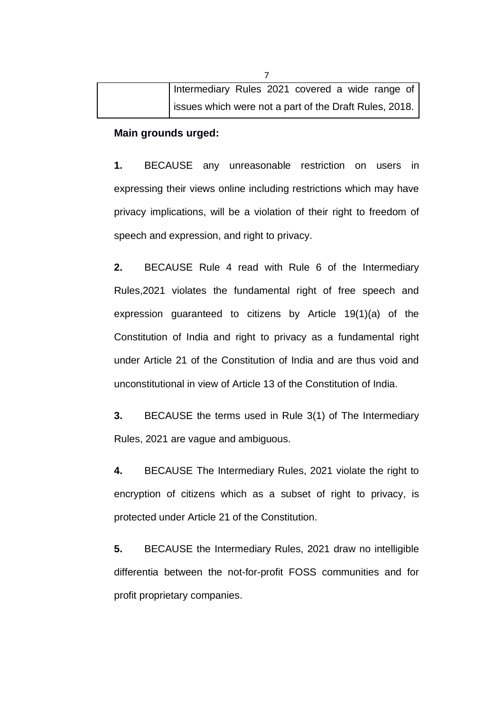| Intermediary Rules 2021 covered a wide range of        |  |  |  |  |
|--------------------------------------------------------|--|--|--|--|
| issues which were not a part of the Draft Rules, 2018. |  |  |  |  |

### **Main grounds urged:**

**1.** BECAUSE any unreasonable restriction on users in expressing their views online including restrictions which may have privacy implications, will be a violation of their right to freedom of speech and expression, and right to privacy.

**2.** BECAUSE Rule 4 read with Rule 6 of the Intermediary Rules,2021 violates the fundamental right of free speech and expression guaranteed to citizens by Article 19(1)(a) of the Constitution of India and right to privacy as a fundamental right under Article 21 of the Constitution of India and are thus void and unconstitutional in view of Article 13 of the Constitution of India.

**3.** BECAUSE the terms used in Rule 3(1) of The Intermediary Rules, 2021 are vague and ambiguous.

**4.** BECAUSE The Intermediary Rules, 2021 violate the right to encryption of citizens which as a subset of right to privacy, is protected under Article 21 of the Constitution.

**5.** BECAUSE the Intermediary Rules, 2021 draw no intelligible differentia between the not-for-profit FOSS communities and for profit proprietary companies.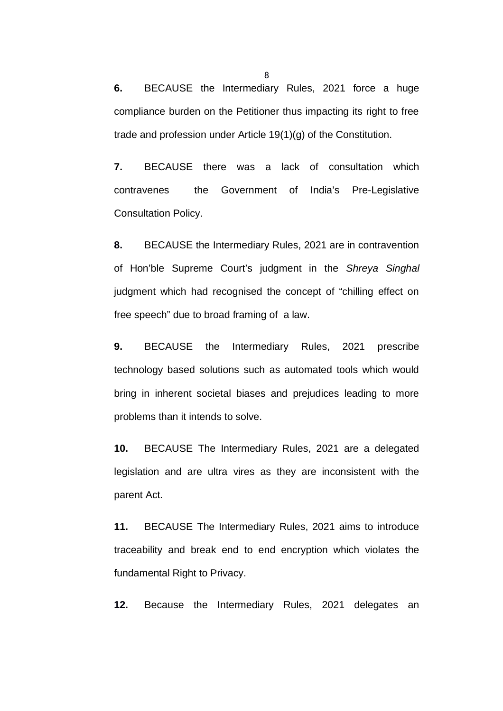**6.** BECAUSE the Intermediary Rules, 2021 force a huge compliance burden on the Petitioner thus impacting its right to free trade and profession under Article 19(1)(g) of the Constitution.

**7.** BECAUSE there was a lack of consultation which contravenes the Government of India's Pre-Legislative Consultation Policy.

**8.** BECAUSE the Intermediary Rules, 2021 are in contravention of Hon'ble Supreme Court's judgment in the *Shreya Singhal* judgment which had recognised the concept of "chilling effect on free speech" due to broad framing of a law.

**9.** BECAUSE the Intermediary Rules, 2021 prescribe technology based solutions such as automated tools which would bring in inherent societal biases and prejudices leading to more problems than it intends to solve.

**10.** BECAUSE The Intermediary Rules, 2021 are a delegated legislation and are ultra vires as they are inconsistent with the parent Act.

**11.** BECAUSE The Intermediary Rules, 2021 aims to introduce traceability and break end to end encryption which violates the fundamental Right to Privacy.

**12.** Because the Intermediary Rules, 2021 delegates an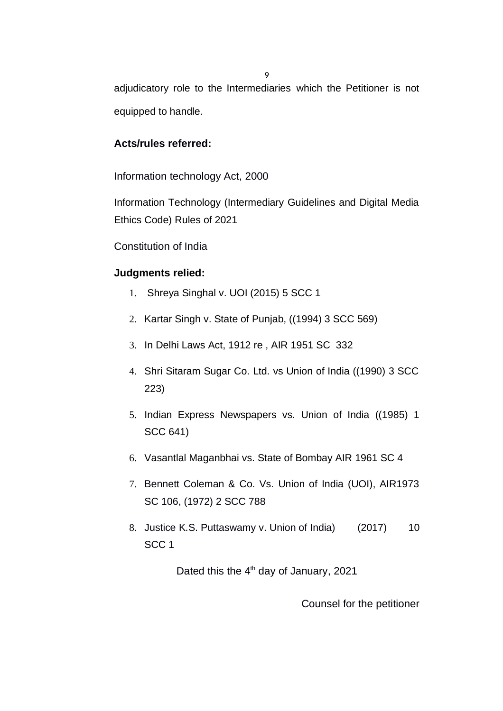adjudicatory role to the Intermediaries which the Petitioner is not equipped to handle.

### **Acts/rules referred:**

Information technology Act, 2000

Information Technology (Intermediary Guidelines and Digital Media Ethics Code) Rules of 2021

Constitution of India

### **Judgments relied:**

- 1. Shreya Singhal v. UOI (2015) 5 SCC 1
- 2. Kartar Singh v. State of Punjab, ((1994) 3 SCC 569)
- 3. In Delhi Laws Act, 1912 re , AIR 1951 SC 332
- 4. Shri Sitaram Sugar Co. Ltd. vs Union of India ((1990) 3 SCC 223)
- 5. Indian Express Newspapers vs. Union of India ((1985) 1 SCC 641)
- 6. Vasantlal Maganbhai vs. State of Bombay AIR 1961 SC 4
- 7. Bennett Coleman & Co. Vs. Union of India (UOI), AIR1973 SC 106, (1972) 2 SCC 788
- 8. Justice K.S. Puttaswamy v. Union of India) (2017) 10 SCC 1

Dated this the  $4<sup>th</sup>$  day of January, 2021

Counsel for the petitioner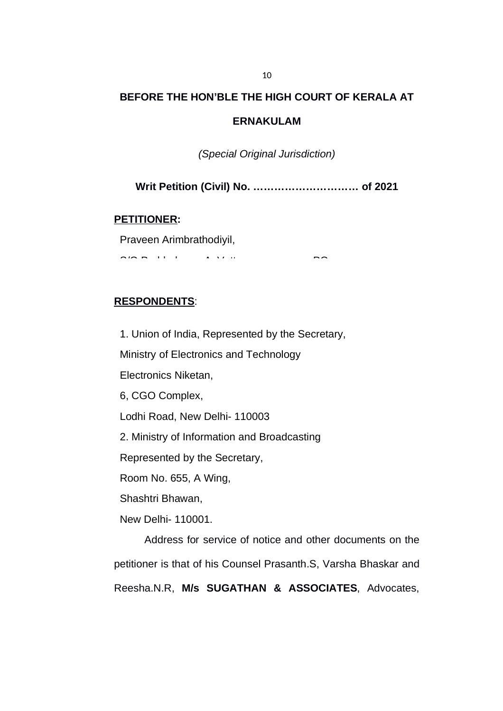### **BEFORE THE HON'BLE THE HIGH COURT OF KERALA AT**

### **ERNAKULAM**

*(Special Original Jurisdiction)*

**Writ Petition (Civil) No. ………………………… of 2021**

**PETITIONER:**

Praveen Arimbrathodiyil,

S/O Prabhakaran A, Vattamannappuram PO,

### **RESPONDENTS**:

1. Union of India, Represented by the Secretary,

Ministry of Electronics and Technology

Electronics Niketan,

6, CGO Complex,

Lodhi Road, New Delhi- 110003

2. Ministry of Information and Broadcasting

Represented by the Secretary,

Room No. 655, A Wing,

Shashtri Bhawan,

New Delhi- 110001.

Address for service of notice and other documents on the petitioner is that of his Counsel Prasanth.S, Varsha Bhaskar and Reesha.N.R, **M/s SUGATHAN & ASSOCIATES**, Advocates,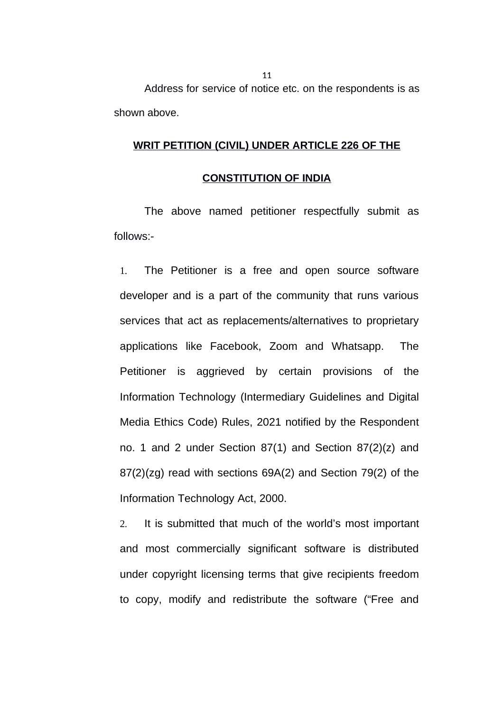Address for service of notice etc. on the respondents is as shown above.

### **WRIT PETITION (CIVIL) UNDER ARTICLE 226 OF THE**

#### **CONSTITUTION OF INDIA**

The above named petitioner respectfully submit as follows:-

1. The Petitioner is a free and open source software developer and is a part of the community that runs various services that act as replacements/alternatives to proprietary applications like Facebook, Zoom and Whatsapp. The Petitioner is aggrieved by certain provisions of the Information Technology (Intermediary Guidelines and Digital Media Ethics Code) Rules, 2021 notified by the Respondent no. 1 and 2 under Section 87(1) and Section 87(2)(z) and 87(2)(zg) read with sections 69A(2) and Section 79(2) of the Information Technology Act, 2000.

2. It is submitted that much of the world's most important and most commercially significant software is distributed under copyright licensing terms that give recipients freedom to copy, modify and redistribute the software ("Free and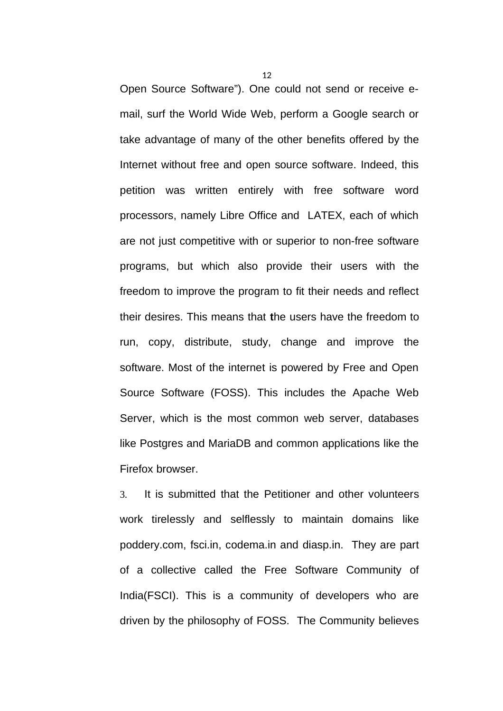Open Source Software"). One could not send or receive email, surf the World Wide Web, perform a Google search or take advantage of many of the other benefits offered by the Internet without free and open source software. Indeed, this petition was written entirely with free software word processors, namely Libre Office and LATEX, each of which are not just competitive with or superior to non-free software programs, but which also provide their users with the freedom to improve the program to fit their needs and reflect their desires. This means that **t**he users have the freedom to run, copy, distribute, study, change and improve the software. Most of the internet is powered by Free and Open Source Software (FOSS). This includes the Apache Web Server, which is the most common web server, databases like Postgres and MariaDB and common applications like the Firefox browser.

3. It is submitted that the Petitioner and other volunteers work tirelessly and selflessly to maintain domains like poddery.com, fsci.in, codema.in and diasp.in. They are part of a collective called the Free Software Community of India(FSCI). This is a community of developers who are driven by the philosophy of FOSS. The Community believes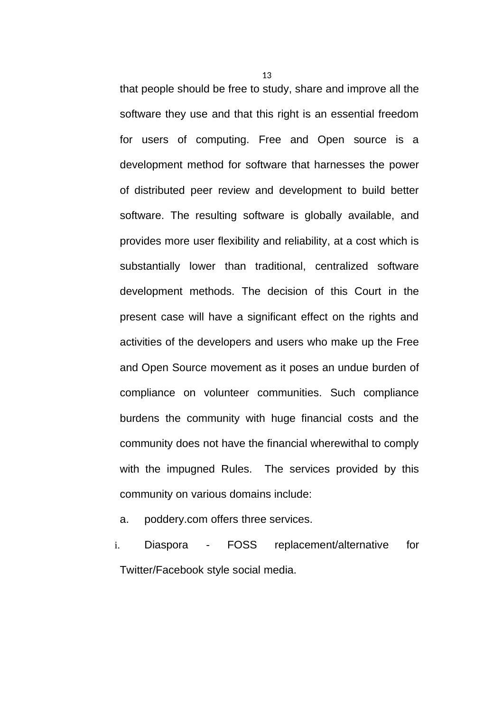that people should be free to study, share and improve all the software they use and that this right is an essential freedom for users of computing. Free and Open source is a development method for software that harnesses the power of distributed peer review and development to build better software. The resulting software is globally available, and provides more user flexibility and reliability, at a cost which is substantially lower than traditional, centralized software development methods. The decision of this Court in the present case will have a significant effect on the rights and activities of the developers and users who make up the Free and Open Source movement as it poses an undue burden of compliance on volunteer communities. Such compliance burdens the community with huge financial costs and the community does not have the financial wherewithal to comply with the impugned Rules. The services provided by this community on various domains include:

- a. poddery.com offers three services.
- i. Diaspora FOSS replacement/alternative for Twitter/Facebook style social media.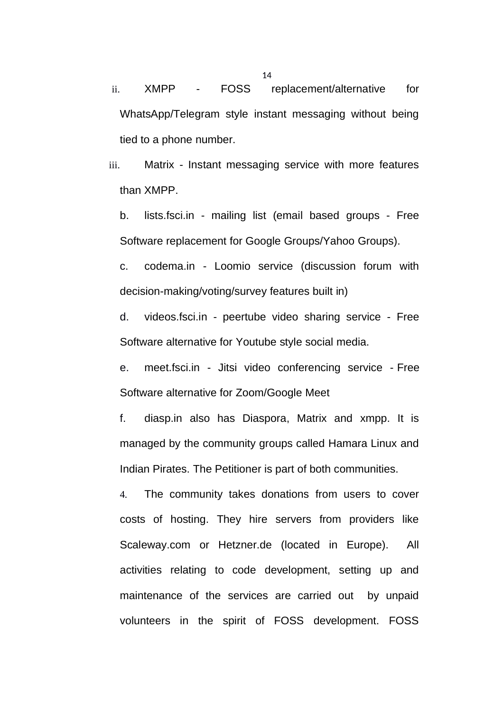ii. XMPP - FOSS replacement/alternative for WhatsApp/Telegram style instant messaging without being tied to a phone number.

iii. Matrix - Instant messaging service with more features than XMPP.

b. lists.fsci.in - mailing list (email based groups - Free Software replacement for Google Groups/Yahoo Groups).

c. codema.in - Loomio service (discussion forum with decision-making/voting/survey features built in)

d. videos.fsci.in - peertube video sharing service - Free Software alternative for Youtube style social media.

e. meet.fsci.in - Jitsi video conferencing service - Free Software alternative for Zoom/Google Meet

f. diasp.in also has Diaspora, Matrix and xmpp. It is managed by the community groups called Hamara Linux and Indian Pirates. The Petitioner is part of both communities.

4. The community takes donations from users to cover costs of hosting. They hire servers from providers like Scaleway.com or Hetzner.de (located in Europe). All activities relating to code development, setting up and maintenance of the services are carried out by unpaid volunteers in the spirit of FOSS development. FOSS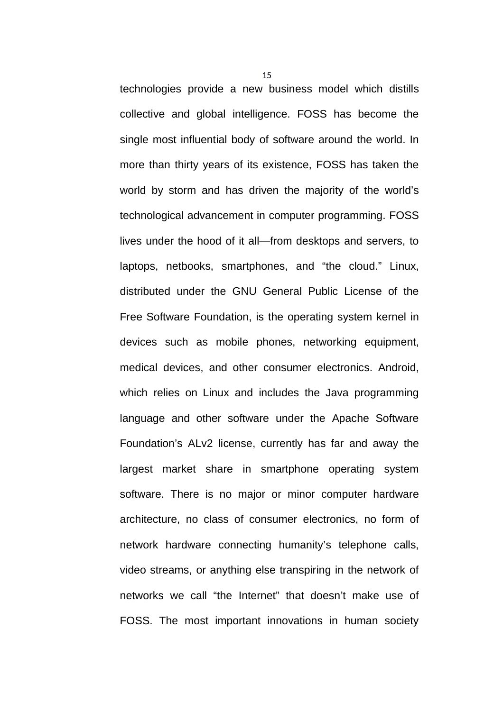technologies provide a new business model which distills collective and global intelligence. FOSS has become the single most influential body of software around the world. In more than thirty years of its existence, FOSS has taken the world by storm and has driven the majority of the world's technological advancement in computer programming. FOSS lives under the hood of it all—from desktops and servers, to laptops, netbooks, smartphones, and "the cloud." Linux, distributed under the GNU General Public License of the Free Software Foundation, is the operating system kernel in devices such as mobile phones, networking equipment, medical devices, and other consumer electronics. Android, which relies on Linux and includes the Java programming language and other software under the Apache Software Foundation's ALv2 license, currently has far and away the largest market share in smartphone operating system software. There is no major or minor computer hardware architecture, no class of consumer electronics, no form of network hardware connecting humanity's telephone calls, video streams, or anything else transpiring in the network of networks we call "the Internet" that doesn't make use of FOSS. The most important innovations in human society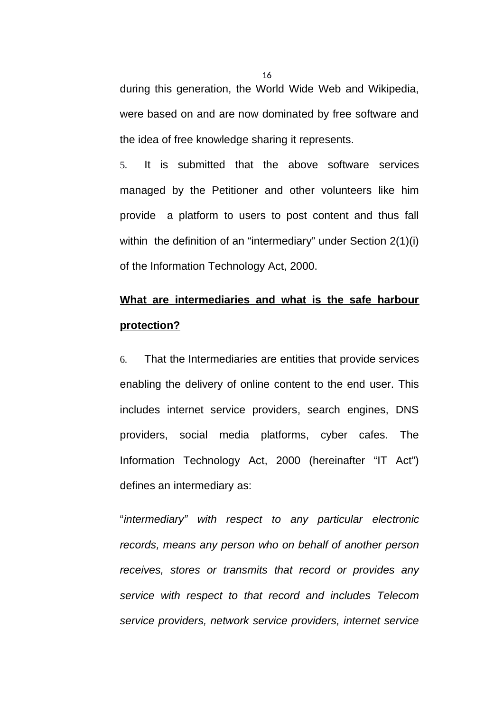during this generation, the World Wide Web and Wikipedia, were based on and are now dominated by free software and the idea of free knowledge sharing it represents.

5. It is submitted that the above software services managed by the Petitioner and other volunteers like him provide a platform to users to post content and thus fall within the definition of an "intermediary" under Section 2(1)(i) of the Information Technology Act, 2000.

## **What are intermediaries and what is the safe harbour protection?**

6. That the Intermediaries are entities that provide services enabling the delivery of online content to the end user. This includes internet service providers, search engines, DNS providers, social media platforms, cyber cafes. The Information Technology Act, 2000 (hereinafter "IT Act") defines an intermediary as:

"*intermediary" with respect to any particular electronic records, means any person who on behalf of another person receives, stores or transmits that record or provides any service with respect to that record and includes Telecom service providers, network service providers, internet service*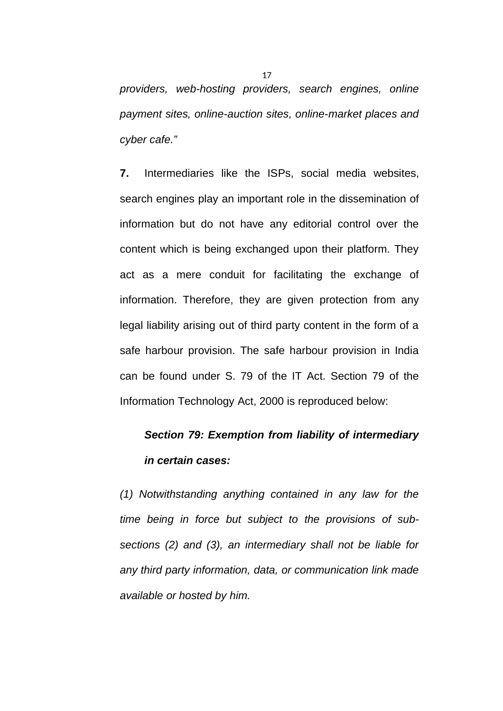*providers, web-hosting providers, search engines, online payment sites, online-auction sites, online-market places and cyber cafe."*

**7.** Intermediaries like the ISPs, social media websites, search engines play an important role in the dissemination of information but do not have any editorial control over the content which is being exchanged upon their platform. They act as a mere conduit for facilitating the exchange of information. Therefore, they are given protection from any legal liability arising out of third party content in the form of a safe harbour provision. The safe harbour provision in India can be found under S. 79 of the IT Act. Section 79 of the Information Technology Act, 2000 is reproduced below:

## *Section 79: Exemption from liability of intermediary in certain cases:*

*(1) Notwithstanding anything contained in any law for the time being in force but subject to the provisions of subsections (2) and (3), an intermediary shall not be liable for any third party information, data, or communication link made available or hosted by him.*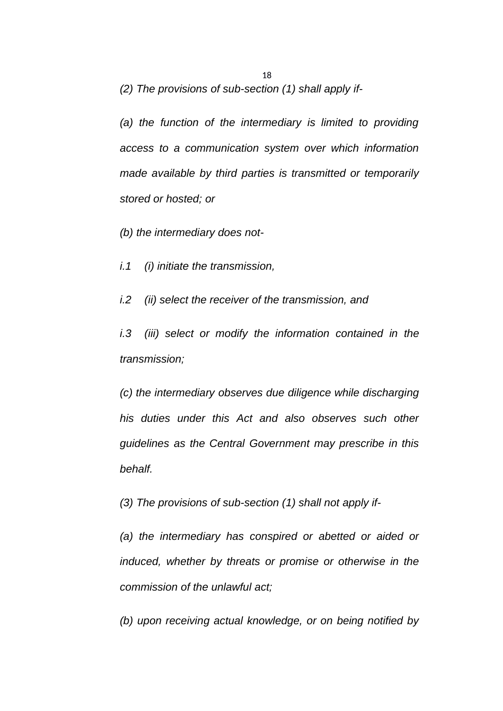*(2) The provisions of sub-section (1) shall apply if-*

*(a) the function of the intermediary is limited to providing access to a communication system over which information made available by third parties is transmitted or temporarily stored or hosted; or*

*(b) the intermediary does not-*

*i.1 (i) initiate the transmission,*

*i.2 (ii) select the receiver of the transmission, and*

*i.3 (iii) select or modify the information contained in the transmission;*

*(c) the intermediary observes due diligence while discharging his duties under this Act and also observes such other guidelines as the Central Government may prescribe in this behalf.*

*(3) The provisions of sub-section (1) shall not apply if-*

*(a) the intermediary has conspired or abetted or aided or induced, whether by threats or promise or otherwise in the commission of the unlawful act;*

*(b) upon receiving actual knowledge, or on being notified by*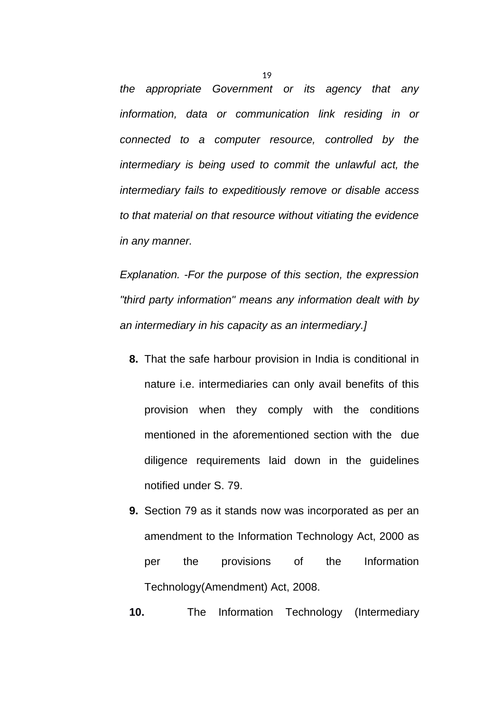*the appropriate Government or its agency that any information, data or communication link residing in or connected to a computer resource, controlled by the intermediary is being used to commit the unlawful act, the intermediary fails to expeditiously remove or disable access to that material on that resource without vitiating the evidence in any manner.*

*Explanation. -For the purpose of this section, the expression "third party information" means any information dealt with by an intermediary in his capacity as an intermediary.]*

- **8.** That the safe harbour provision in India is conditional in nature i.e. intermediaries can only avail benefits of this provision when they comply with the conditions mentioned in the aforementioned section with the due diligence requirements laid down in the guidelines notified under S. 79.
- **9.** Section 79 as it stands now was incorporated as per an amendment to the Information Technology Act, 2000 as per the provisions of the Information Technology(Amendment) Act, 2008.

**10.** The Information Technology (Intermediary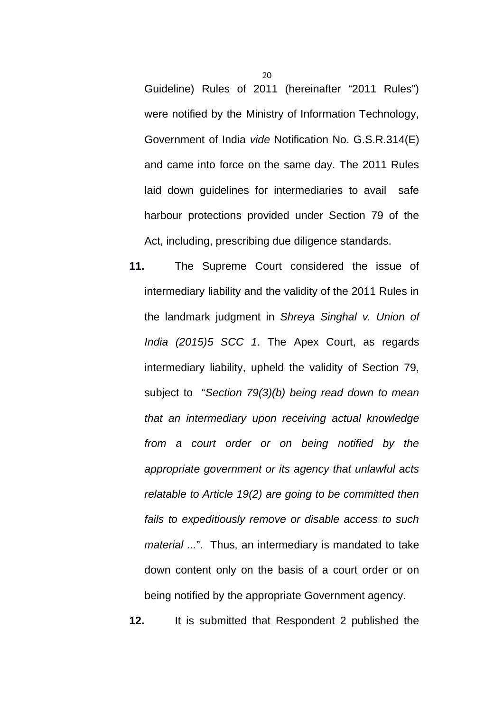Guideline) Rules of 2011 (hereinafter "2011 Rules") were notified by the Ministry of Information Technology, Government of India *vide* Notification No. G.S.R.314(E) and came into force on the same day. The 2011 Rules laid down guidelines for intermediaries to avail safe harbour protections provided under Section 79 of the Act, including, prescribing due diligence standards.

**11.** The Supreme Court considered the issue of intermediary liability and the validity of the 2011 Rules in the landmark judgment in *Shreya Singhal v. Union of India (2015)5 SCC 1*. The Apex Court, as regards intermediary liability, upheld the validity of Section 79, subject to "*Section 79(3)(b) being read down to mean that an intermediary upon receiving actual knowledge from a court order or on being notified by the appropriate government or its agency that unlawful acts relatable to Article 19(2) are going to be committed then fails to expeditiously remove or disable access to such material ...*". Thus, an intermediary is mandated to take down content only on the basis of a court order or on being notified by the appropriate Government agency.

**12.** It is submitted that Respondent 2 published the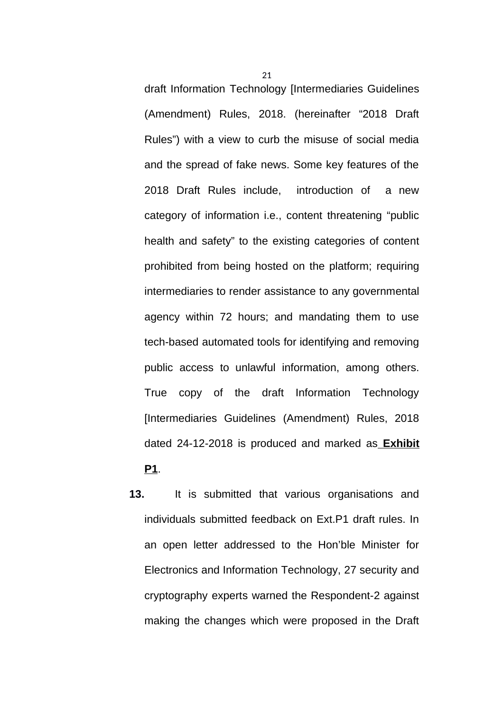draft Information Technology [Intermediaries Guidelines (Amendment) Rules, 2018. (hereinafter "2018 Draft Rules") with a view to curb the misuse of social media and the spread of fake news. Some key features of the 2018 Draft Rules include, introduction of a new category of information i.e., content threatening "public health and safety" to the existing categories of content prohibited from being hosted on the platform; requiring intermediaries to render assistance to any governmental agency within 72 hours; and mandating them to use tech-based automated tools for identifying and removing public access to unlawful information, among others. True copy of the draft Information Technology [Intermediaries Guidelines (Amendment) Rules, 2018 dated 24-12-2018 is produced and marked as **Exhibit P1**.

**13.** It is submitted that various organisations and individuals submitted feedback on Ext.P1 draft rules. In an open letter addressed to the Hon'ble Minister for Electronics and Information Technology, 27 security and cryptography experts warned the Respondent-2 against making the changes which were proposed in the Draft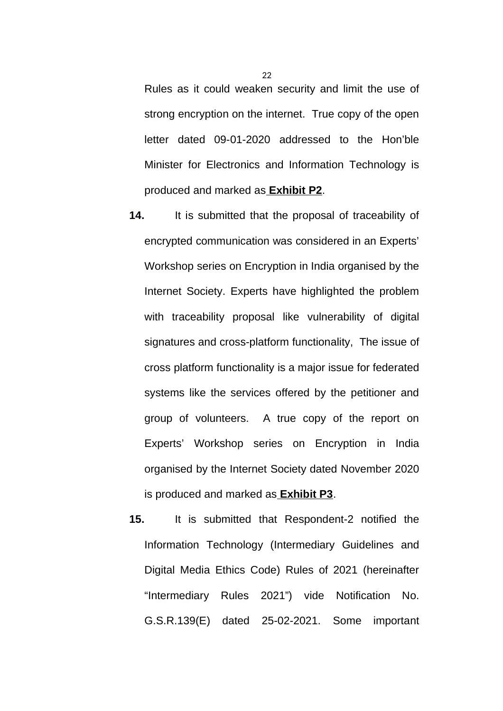Rules as it could weaken security and limit the use of strong encryption on the internet. True copy of the open letter dated 09-01-2020 addressed to the Hon'ble Minister for Electronics and Information Technology is produced and marked as **Exhibit P2**.

- **14.** It is submitted that the proposal of traceability of encrypted communication was considered in an Experts' Workshop series on Encryption in India organised by the Internet Society. Experts have highlighted the problem with traceability proposal like vulnerability of digital signatures and cross-platform functionality, The issue of cross platform functionality is a major issue for federated systems like the services offered by the petitioner and group of volunteers. A true copy of the report on Experts' Workshop series on Encryption in India organised by the Internet Society dated November 2020 is produced and marked as **Exhibit P3**.
- **15.** It is submitted that Respondent-2 notified the Information Technology (Intermediary Guidelines and Digital Media Ethics Code) Rules of 2021 (hereinafter "Intermediary Rules 2021") vide Notification No. G.S.R.139(E) dated 25-02-2021. Some important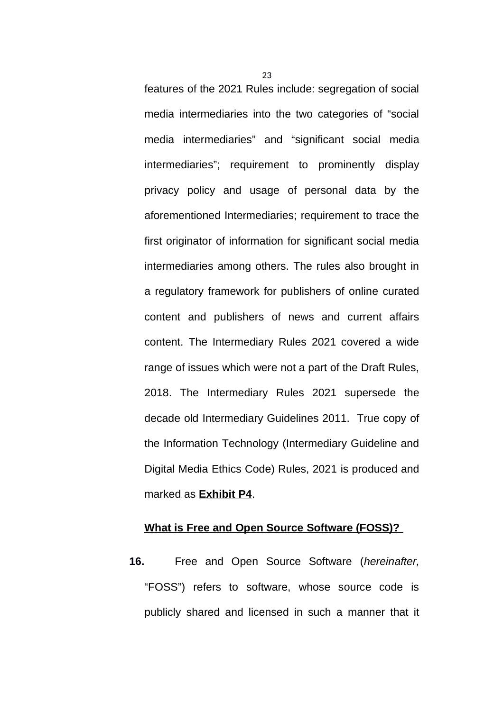features of the 2021 Rules include: segregation of social media intermediaries into the two categories of "social media intermediaries" and "significant social media intermediaries"; requirement to prominently display privacy policy and usage of personal data by the aforementioned Intermediaries; requirement to trace the first originator of information for significant social media intermediaries among others. The rules also brought in a regulatory framework for publishers of online curated content and publishers of news and current affairs content. The Intermediary Rules 2021 covered a wide range of issues which were not a part of the Draft Rules, 2018. The Intermediary Rules 2021 supersede the decade old Intermediary Guidelines 2011. True copy of the Information Technology (Intermediary Guideline and Digital Media Ethics Code) Rules, 2021 is produced and marked as **Exhibit P4**.

#### **What is Free and Open Source Software (FOSS)?**

**16.** Free and Open Source Software (*hereinafter,* "FOSS") refers to software, whose source code is publicly shared and licensed in such a manner that it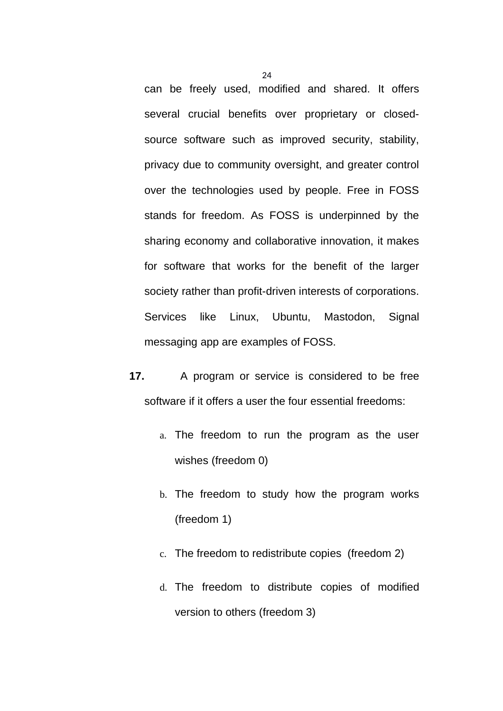can be freely used, modified and shared. It offers several crucial benefits over proprietary or closedsource software such as improved security, stability, privacy due to community oversight, and greater control over the technologies used by people. Free in FOSS stands for freedom. As FOSS is underpinned by the sharing economy and collaborative innovation, it makes for software that works for the benefit of the larger society rather than profit-driven interests of corporations. Services like Linux, Ubuntu, Mastodon, Signal messaging app are examples of FOSS.

- **17.** A program or service is considered to be free software if it offers a user the four essential freedoms:
	- a. The freedom to run the program as the user wishes (freedom 0)
	- b. The freedom to study how the program works (freedom 1)
	- c. The freedom to redistribute copies (freedom 2)
	- d. The freedom to distribute copies of modified version to others (freedom 3)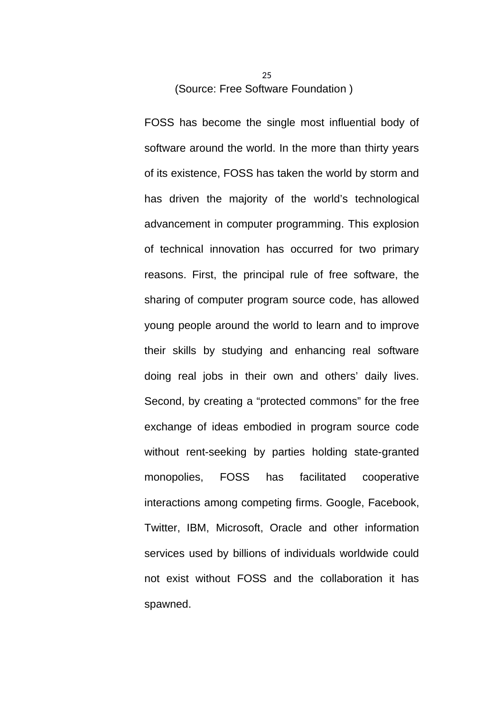(Source: Free Software Foundation )

FOSS has become the single most influential body of software around the world. In the more than thirty years of its existence, FOSS has taken the world by storm and has driven the majority of the world's technological advancement in computer programming. This explosion of technical innovation has occurred for two primary reasons. First, the principal rule of free software, the sharing of computer program source code, has allowed young people around the world to learn and to improve their skills by studying and enhancing real software doing real jobs in their own and others' daily lives. Second, by creating a "protected commons" for the free exchange of ideas embodied in program source code without rent-seeking by parties holding state-granted monopolies, FOSS has facilitated cooperative interactions among competing firms. Google, Facebook, Twitter, IBM, Microsoft, Oracle and other information services used by billions of individuals worldwide could not exist without FOSS and the collaboration it has spawned.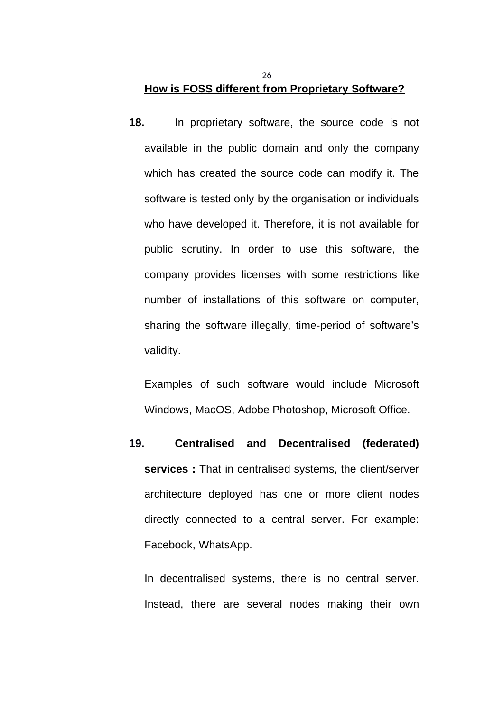## **How is FOSS different from Proprietary Software?**

**18.** In proprietary software, the source code is not available in the public domain and only the company which has created the source code can modify it. The software is tested only by the organisation or individuals who have developed it. Therefore, it is not available for public scrutiny. In order to use this software, the company provides licenses with some restrictions like number of installations of this software on computer, sharing the software illegally, time-period of software's validity.

Examples of such software would include Microsoft Windows, MacOS, Adobe Photoshop, Microsoft Office.

**19. Centralised and Decentralised (federated) services :** That in centralised systems, the client/server architecture deployed has one or more client nodes directly connected to a central server. For example: Facebook, WhatsApp.

In decentralised systems, there is no central server. Instead, there are several nodes making their own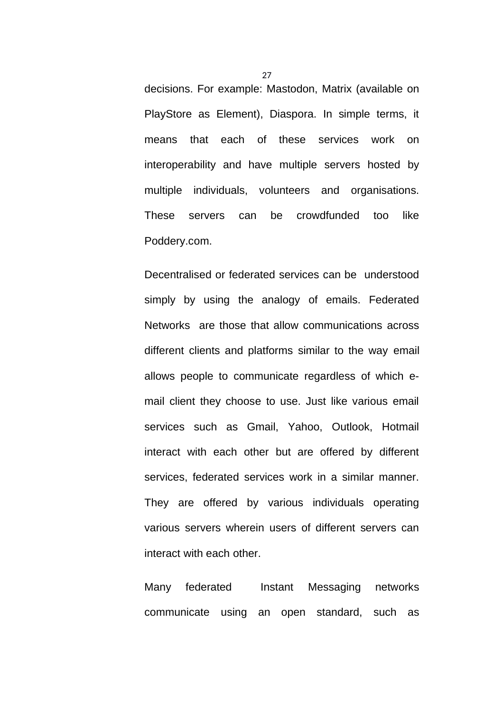decisions. For example: Mastodon, Matrix (available on PlayStore as Element), Diaspora. In simple terms, it means that each of these services work on interoperability and have multiple servers hosted by multiple individuals, volunteers and organisations. These servers can be crowdfunded too like Poddery.com.

Decentralised or federated services can be understood simply by using the analogy of emails. Federated Networks are those that allow communications across different clients and platforms similar to the way email allows people to communicate regardless of which email client they choose to use. Just like various email services such as Gmail, Yahoo, Outlook, Hotmail interact with each other but are offered by different services, federated services work in a similar manner. They are offered by various individuals operating various servers wherein users of different servers can interact with each other.

Many federated Instant Messaging networks communicate using an open standard, such as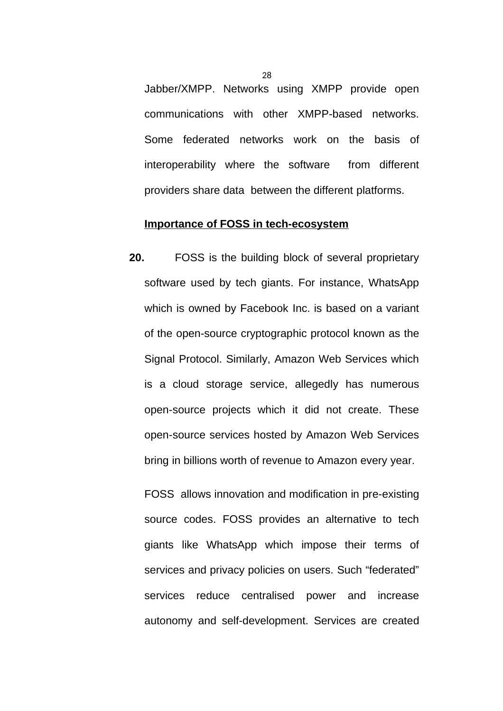Jabber/XMPP. Networks using XMPP provide open communications with other XMPP-based networks. Some federated networks work on the basis of interoperability where the software from different providers share data between the different platforms.

#### **Importance of FOSS in tech-ecosystem**

**20.** FOSS is the building block of several proprietary software used by tech giants. For instance, WhatsApp which is owned by Facebook Inc. is based on a variant of the open-source cryptographic protocol known as the Signal Protocol. Similarly, Amazon Web Services which is a cloud storage service, allegedly has numerous open-source projects which it did not create. These open-source services hosted by Amazon Web Services bring in billions worth of revenue to Amazon every year.

FOSS allows innovation and modification in pre-existing source codes. FOSS provides an alternative to tech giants like WhatsApp which impose their terms of services and privacy policies on users. Such "federated" services reduce centralised power and increase autonomy and self-development. Services are created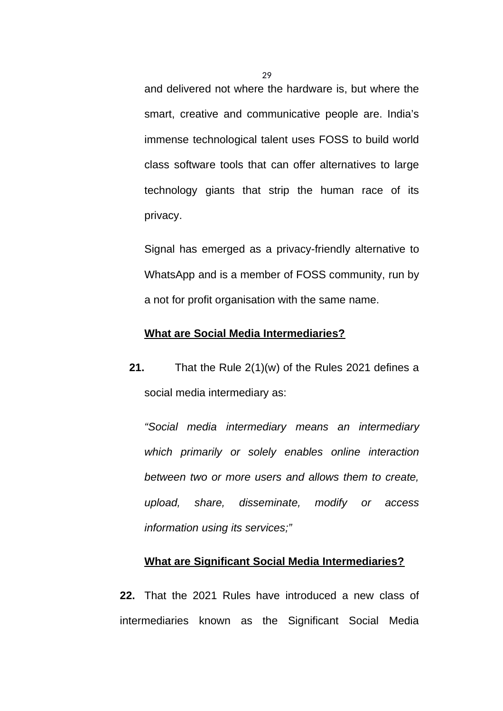and delivered not where the hardware is, but where the smart, creative and communicative people are. India's immense technological talent uses FOSS to build world class software tools that can offer alternatives to large technology giants that strip the human race of its privacy.

Signal has emerged as a privacy-friendly alternative to WhatsApp and is a member of FOSS community, run by a not for profit organisation with the same name.

### **What are Social Media Intermediaries?**

**21.** That the Rule 2(1)(w) of the Rules 2021 defines a social media intermediary as:

*"Social media intermediary means an intermediary which primarily or solely enables online interaction between two or more users and allows them to create, upload, share, disseminate, modify or access information using its services;"*

### **What are Significant Social Media Intermediaries?**

**22.** That the 2021 Rules have introduced a new class of intermediaries known as the Significant Social Media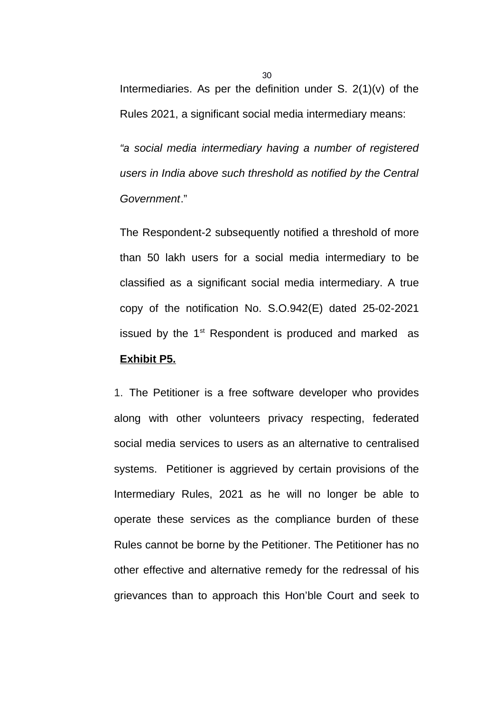Intermediaries. As per the definition under S. 2(1)(v) of the Rules 2021, a significant social media intermediary means:

*"a social media intermediary having a number of registered users in India above such threshold as notified by the Central Government*."

The Respondent-2 subsequently notified a threshold of more than 50 lakh users for a social media intermediary to be classified as a significant social media intermediary. A true copy of the notification No. S.O.942(E) dated 25-02-2021 issued by the  $1<sup>st</sup>$  Respondent is produced and marked as **Exhibit P5.**

1. The Petitioner is a free software developer who provides along with other volunteers privacy respecting, federated social media services to users as an alternative to centralised systems. Petitioner is aggrieved by certain provisions of the Intermediary Rules, 2021 as he will no longer be able to operate these services as the compliance burden of these Rules cannot be borne by the Petitioner. The Petitioner has no other effective and alternative remedy for the redressal of his grievances than to approach this Hon'ble Court and seek to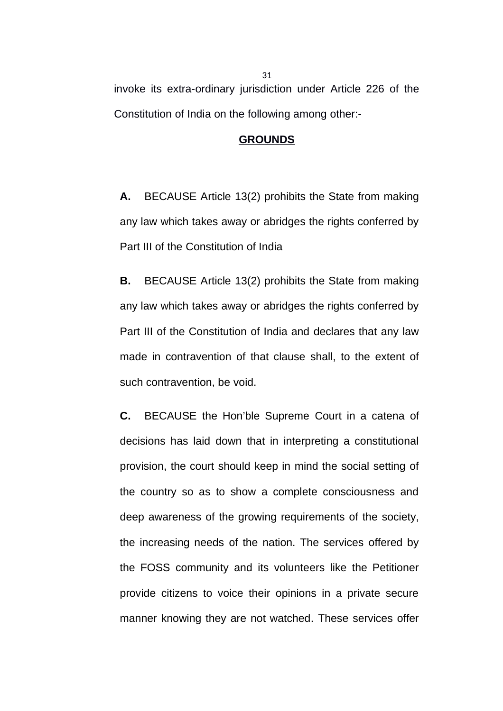invoke its extra-ordinary jurisdiction under Article 226 of the Constitution of India on the following among other:-

#### **GROUNDS**

**A.** BECAUSE Article 13(2) prohibits the State from making any law which takes away or abridges the rights conferred by Part III of the Constitution of India

**B.** BECAUSE Article 13(2) prohibits the State from making any law which takes away or abridges the rights conferred by Part III of the Constitution of India and declares that any law made in contravention of that clause shall, to the extent of such contravention, be void.

**C.** BECAUSE the Hon'ble Supreme Court in a catena of decisions has laid down that in interpreting a constitutional provision, the court should keep in mind the social setting of the country so as to show a complete consciousness and deep awareness of the growing requirements of the society, the increasing needs of the nation. The services offered by the FOSS community and its volunteers like the Petitioner provide citizens to voice their opinions in a private secure manner knowing they are not watched. These services offer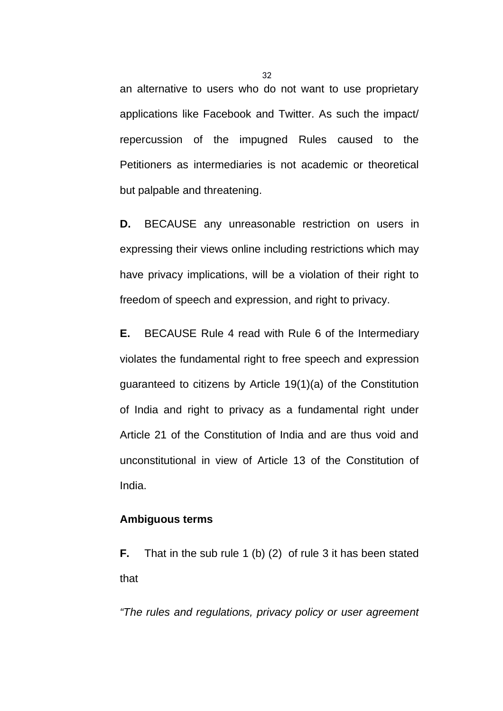an alternative to users who do not want to use proprietary applications like Facebook and Twitter. As such the impact/ repercussion of the impugned Rules caused to the Petitioners as intermediaries is not academic or theoretical but palpable and threatening.

**D.** BECAUSE any unreasonable restriction on users in expressing their views online including restrictions which may have privacy implications, will be a violation of their right to freedom of speech and expression, and right to privacy.

**E.** BECAUSE Rule 4 read with Rule 6 of the Intermediary violates the fundamental right to free speech and expression guaranteed to citizens by Article 19(1)(a) of the Constitution of India and right to privacy as a fundamental right under Article 21 of the Constitution of India and are thus void and unconstitutional in view of Article 13 of the Constitution of India.

### **Ambiguous terms**

**F.** That in the sub rule 1 (b) (2) of rule 3 it has been stated that

*"The rules and regulations, privacy policy or user agreement*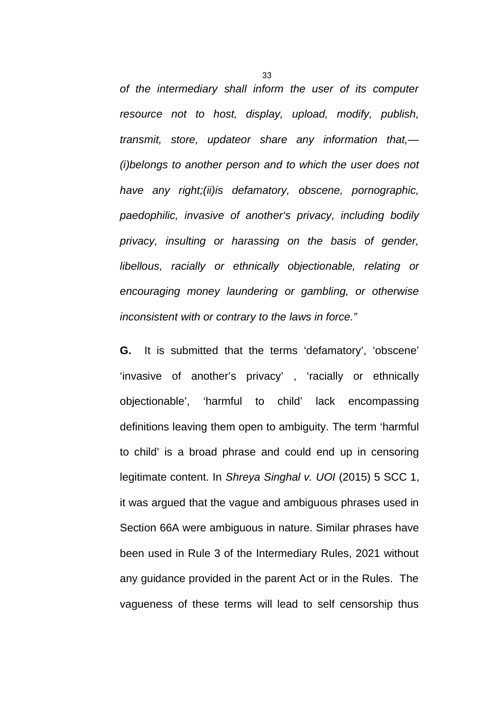*of the intermediary shall inform the user of its computer resource not to host, display, upload, modify, publish, transmit, store, updateor share any information that,— (i)belongs to another person and to which the user does not have any right;(ii)is defamatory, obscene, pornographic, paedophilic, invasive of another's privacy, including bodily privacy, insulting or harassing on the basis of gender, libellous, racially or ethnically objectionable, relating or encouraging money laundering or gambling, or otherwise inconsistent with or contrary to the laws in force."*

**G.** It is submitted that the terms 'defamatory', 'obscene' 'invasive of another's privacy' , 'racially or ethnically objectionable', 'harmful to child' lack encompassing definitions leaving them open to ambiguity. The term 'harmful to child' is a broad phrase and could end up in censoring legitimate content. In *Shreya Singhal v. UOI* (2015) 5 SCC 1, it was argued that the vague and ambiguous phrases used in Section 66A were ambiguous in nature. Similar phrases have been used in Rule 3 of the Intermediary Rules, 2021 without any guidance provided in the parent Act or in the Rules. The vagueness of these terms will lead to self censorship thus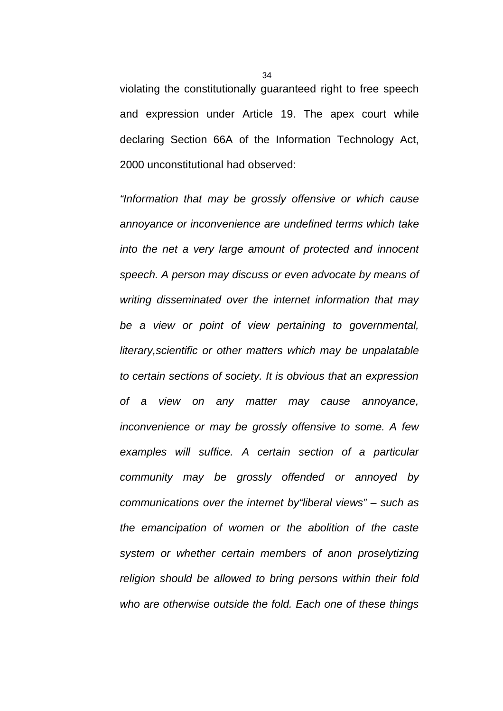violating the constitutionally guaranteed right to free speech and expression under Article 19. The apex court while declaring Section 66A of the Information Technology Act, 2000 unconstitutional had observed:

*"Information that may be grossly offensive or which cause annoyance or inconvenience are undefined terms which take into the net a very large amount of protected and innocent speech. A person may discuss or even advocate by means of writing disseminated over the internet information that may be a view or point of view pertaining to governmental, literary,scientific or other matters which may be unpalatable to certain sections of society. It is obvious that an expression of a view on any matter may cause annoyance, inconvenience or may be grossly offensive to some. A few examples will suffice. A certain section of a particular community may be grossly offended or annoyed by communications over the internet by"liberal views" – such as the emancipation of women or the abolition of the caste system or whether certain members of anon proselytizing religion should be allowed to bring persons within their fold who are otherwise outside the fold. Each one of these things*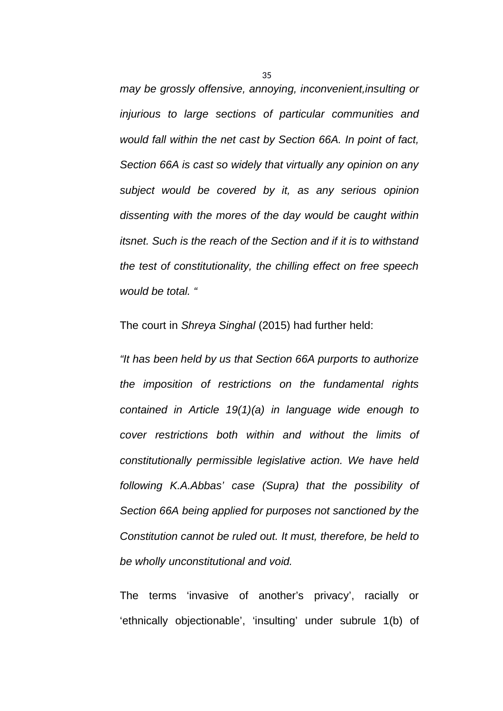*may be grossly offensive, annoying, inconvenient,insulting or injurious to large sections of particular communities and would fall within the net cast by Section 66A. In point of fact, Section 66A is cast so widely that virtually any opinion on any subject would be covered by it, as any serious opinion dissenting with the mores of the day would be caught within itsnet. Such is the reach of the Section and if it is to withstand the test of constitutionality, the chilling effect on free speech would be total. "*

The court in *Shreya Singhal* (2015) had further held:

*"It has been held by us that Section 66A purports to authorize the imposition of restrictions on the fundamental rights contained in Article 19(1)(a) in language wide enough to cover restrictions both within and without the limits of constitutionally permissible legislative action. We have held following K.A.Abbas' case (Supra) that the possibility of Section 66A being applied for purposes not sanctioned by the Constitution cannot be ruled out. It must, therefore, be held to be wholly unconstitutional and void.*

The terms 'invasive of another's privacy', racially or 'ethnically objectionable', 'insulting' under subrule 1(b) of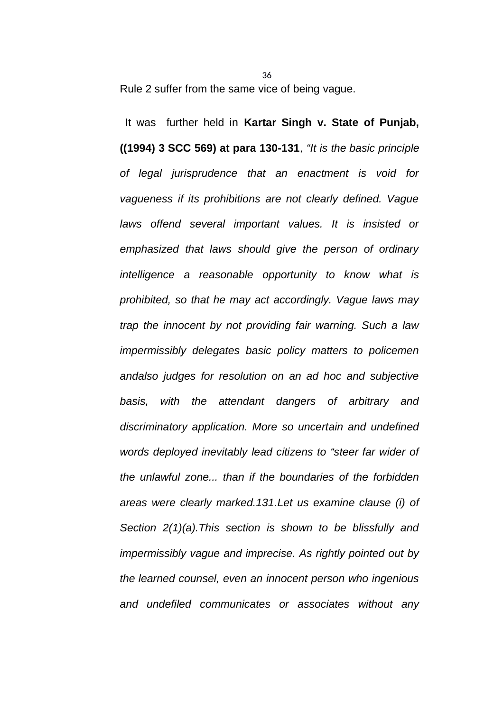Rule 2 suffer from the same vice of being vague.

 It was further held in **Kartar Singh v. State of Punjab, ((1994) 3 SCC 569) at para 130-131***, "It is the basic principle of legal jurisprudence that an enactment is void for vagueness if its prohibitions are not clearly defined. Vague laws offend several important values. It is insisted or emphasized that laws should give the person of ordinary intelligence a reasonable opportunity to know what is prohibited, so that he may act accordingly. Vague laws may trap the innocent by not providing fair warning. Such a law impermissibly delegates basic policy matters to policemen andalso judges for resolution on an ad hoc and subjective basis, with the attendant dangers of arbitrary and discriminatory application. More so uncertain and undefined words deployed inevitably lead citizens to "steer far wider of the unlawful zone... than if the boundaries of the forbidden areas were clearly marked.131.Let us examine clause (i) of Section 2(1)(a).This section is shown to be blissfully and impermissibly vague and imprecise. As rightly pointed out by the learned counsel, even an innocent person who ingenious and undefiled communicates or associates without any*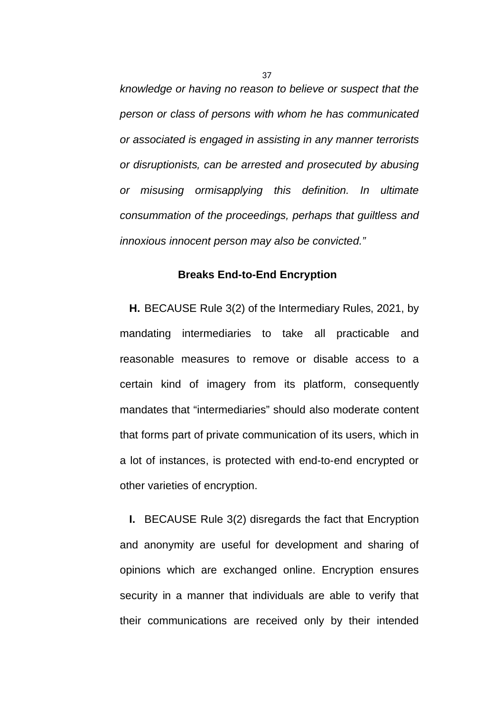*knowledge or having no reason to believe or suspect that the person or class of persons with whom he has communicated or associated is engaged in assisting in any manner terrorists or disruptionists, can be arrested and prosecuted by abusing or misusing ormisapplying this definition. In ultimate consummation of the proceedings, perhaps that guiltless and innoxious innocent person may also be convicted."*

### **Breaks End-to-End Encryption**

**H.** BECAUSE Rule 3(2) of the Intermediary Rules, 2021, by mandating intermediaries to take all practicable and reasonable measures to remove or disable access to a certain kind of imagery from its platform, consequently mandates that "intermediaries" should also moderate content that forms part of private communication of its users, which in a lot of instances, is protected with end-to-end encrypted or other varieties of encryption.

**I.** BECAUSE Rule 3(2) disregards the fact that Encryption and anonymity are useful for development and sharing of opinions which are exchanged online. Encryption ensures security in a manner that individuals are able to verify that their communications are received only by their intended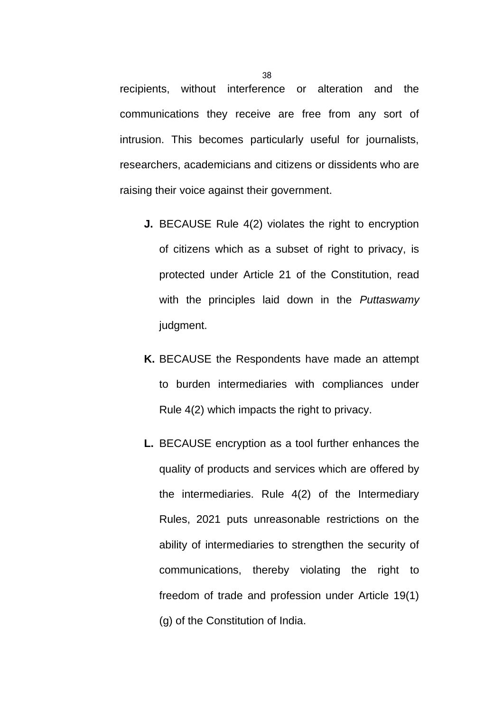recipients, without interference or alteration and the communications they receive are free from any sort of intrusion. This becomes particularly useful for journalists, researchers, academicians and citizens or dissidents who are raising their voice against their government.

- **J.** BECAUSE Rule 4(2) violates the right to encryption of citizens which as a subset of right to privacy, is protected under Article 21 of the Constitution, read with the principles laid down in the *Puttaswamy* judgment.
- **K.** BECAUSE the Respondents have made an attempt to burden intermediaries with compliances under Rule 4(2) which impacts the right to privacy.
- **L.** BECAUSE encryption as a tool further enhances the quality of products and services which are offered by the intermediaries. Rule 4(2) of the Intermediary Rules, 2021 puts unreasonable restrictions on the ability of intermediaries to strengthen the security of communications, thereby violating the right to freedom of trade and profession under Article 19(1) (g) of the Constitution of India.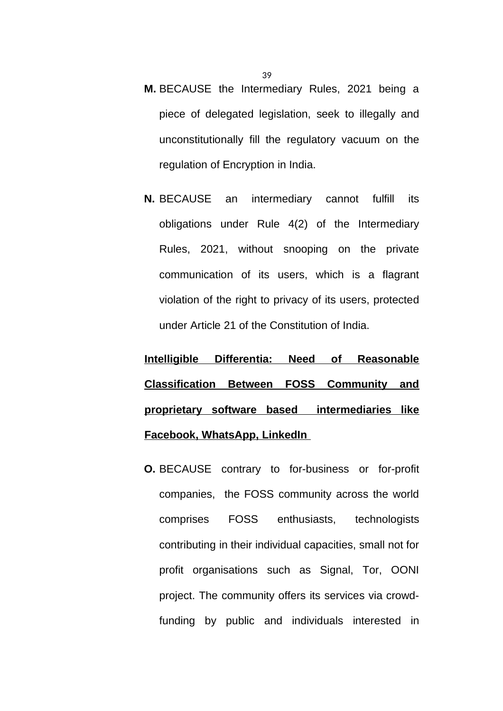- **M.** BECAUSE the Intermediary Rules, 2021 being a piece of delegated legislation, seek to illegally and unconstitutionally fill the regulatory vacuum on the regulation of Encryption in India.
- **N.** BECAUSE an intermediary cannot fulfill its obligations under Rule 4(2) of the Intermediary Rules, 2021, without snooping on the private communication of its users, which is a flagrant violation of the right to privacy of its users, protected under Article 21 of the Constitution of India.

**Intelligible Differentia: Need of Reasonable Classification Between FOSS Community and proprietary software based intermediaries like Facebook, WhatsApp, LinkedIn** 

**O.** BECAUSE contrary to for-business or for-profit companies, the FOSS community across the world comprises FOSS enthusiasts, technologists contributing in their individual capacities, small not for profit organisations such as Signal, Tor, OONI project. The community offers its services via crowdfunding by public and individuals interested in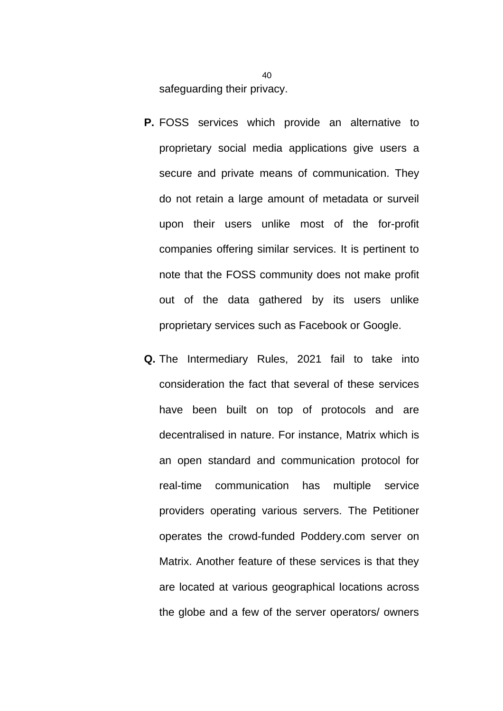safeguarding their privacy.

- **P.** FOSS services which provide an alternative to proprietary social media applications give users a secure and private means of communication. They do not retain a large amount of metadata or surveil upon their users unlike most of the for-profit companies offering similar services. It is pertinent to note that the FOSS community does not make profit out of the data gathered by its users unlike proprietary services such as Facebook or Google.
- **Q.** The Intermediary Rules, 2021 fail to take into consideration the fact that several of these services have been built on top of protocols and are decentralised in nature. For instance, Matrix which is an open standard and communication protocol for real-time communication has multiple service providers operating various servers. The Petitioner operates the crowd-funded Poddery.com server on Matrix. Another feature of these services is that they are located at various geographical locations across the globe and a few of the server operators/ owners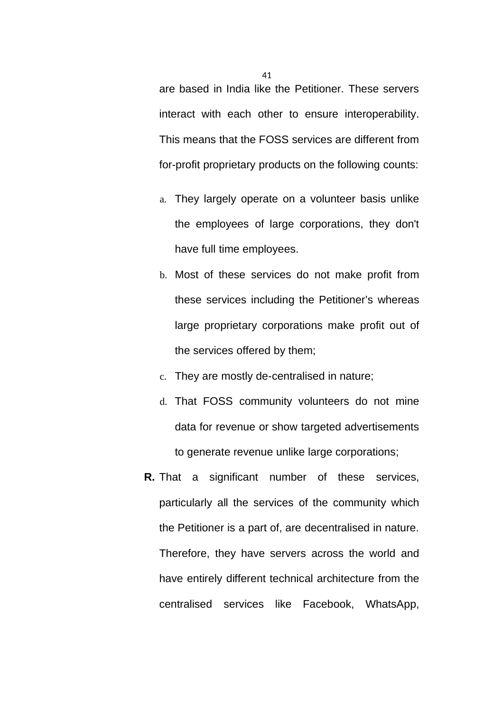are based in India like the Petitioner. These servers interact with each other to ensure interoperability. This means that the FOSS services are different from for-profit proprietary products on the following counts:

- a. They largely operate on a volunteer basis unlike the employees of large corporations, they don't have full time employees.
- b. Most of these services do not make profit from these services including the Petitioner's whereas large proprietary corporations make profit out of the services offered by them;
- c. They are mostly de-centralised in nature;
- d. That FOSS community volunteers do not mine data for revenue or show targeted advertisements to generate revenue unlike large corporations;
- **R.** That a significant number of these services, particularly all the services of the community which the Petitioner is a part of, are decentralised in nature. Therefore, they have servers across the world and have entirely different technical architecture from the centralised services like Facebook, WhatsApp,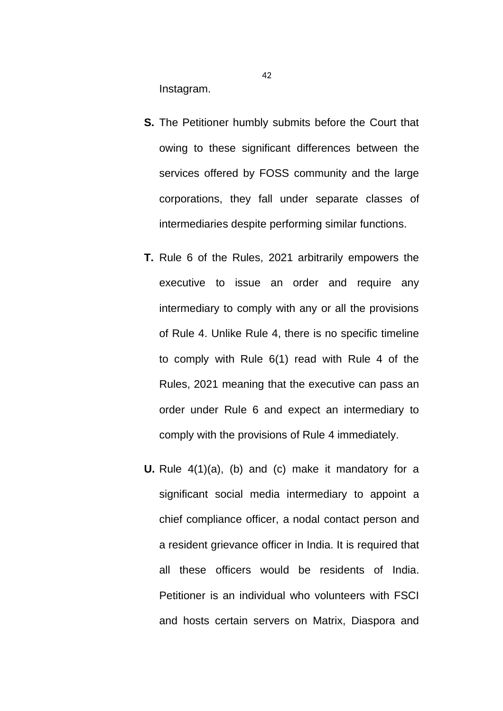Instagram.

- **S.** The Petitioner humbly submits before the Court that owing to these significant differences between the services offered by FOSS community and the large corporations, they fall under separate classes of intermediaries despite performing similar functions.
- **T.** Rule 6 of the Rules, 2021 arbitrarily empowers the executive to issue an order and require any intermediary to comply with any or all the provisions of Rule 4. Unlike Rule 4, there is no specific timeline to comply with Rule 6(1) read with Rule 4 of the Rules, 2021 meaning that the executive can pass an order under Rule 6 and expect an intermediary to comply with the provisions of Rule 4 immediately.
- **U.** Rule 4(1)(a), (b) and (c) make it mandatory for a significant social media intermediary to appoint a chief compliance officer, a nodal contact person and a resident grievance officer in India. It is required that all these officers would be residents of India. Petitioner is an individual who volunteers with FSCI and hosts certain servers on Matrix, Diaspora and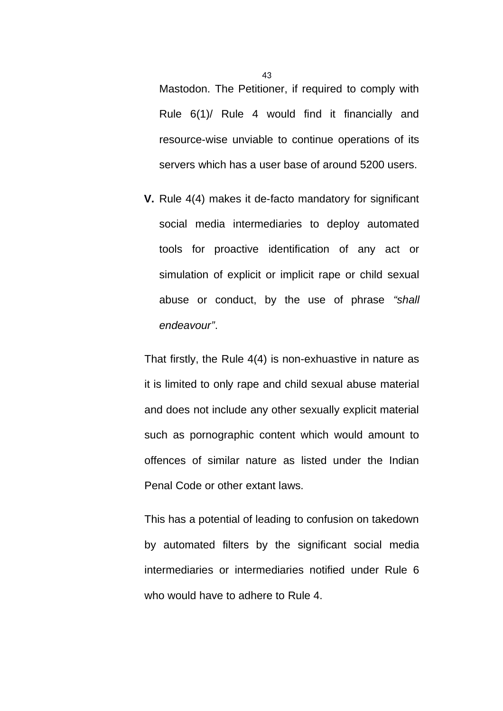Mastodon. The Petitioner, if required to comply with Rule 6(1)/ Rule 4 would find it financially and resource-wise unviable to continue operations of its servers which has a user base of around 5200 users.

**V.** Rule 4(4) makes it de-facto mandatory for significant social media intermediaries to deploy automated tools for proactive identification of any act or simulation of explicit or implicit rape or child sexual abuse or conduct, by the use of phrase *"shall endeavour"*.

That firstly, the Rule 4(4) is non-exhuastive in nature as it is limited to only rape and child sexual abuse material and does not include any other sexually explicit material such as pornographic content which would amount to offences of similar nature as listed under the Indian Penal Code or other extant laws.

This has a potential of leading to confusion on takedown by automated filters by the significant social media intermediaries or intermediaries notified under Rule 6 who would have to adhere to Rule 4.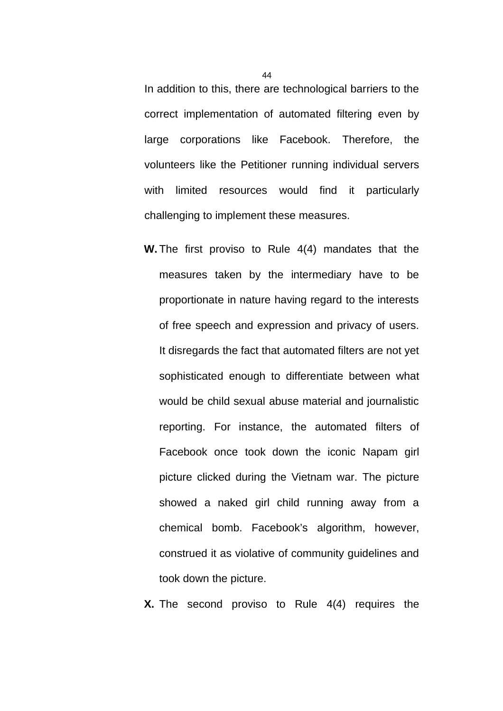In addition to this, there are technological barriers to the correct implementation of automated filtering even by large corporations like Facebook. Therefore, the volunteers like the Petitioner running individual servers with limited resources would find it particularly challenging to implement these measures.

**W.** The first proviso to Rule 4(4) mandates that the measures taken by the intermediary have to be proportionate in nature having regard to the interests of free speech and expression and privacy of users. It disregards the fact that automated filters are not yet sophisticated enough to differentiate between what would be child sexual abuse material and journalistic reporting. For instance, the automated filters of Facebook once took down the iconic Napam girl picture clicked during the Vietnam war. The picture showed a naked girl child running away from a chemical bomb. Facebook's algorithm, however, construed it as violative of community guidelines and took down the picture.

**X.** The second proviso to Rule 4(4) requires the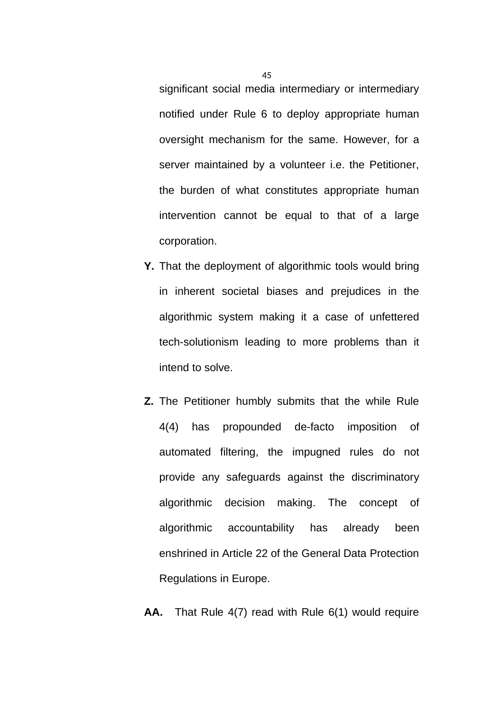significant social media intermediary or intermediary notified under Rule 6 to deploy appropriate human oversight mechanism for the same. However, for a server maintained by a volunteer i.e. the Petitioner, the burden of what constitutes appropriate human intervention cannot be equal to that of a large corporation.

- **Y.** That the deployment of algorithmic tools would bring in inherent societal biases and prejudices in the algorithmic system making it a case of unfettered tech-solutionism leading to more problems than it intend to solve.
- **Z.** The Petitioner humbly submits that the while Rule 4(4) has propounded de-facto imposition of automated filtering, the impugned rules do not provide any safeguards against the discriminatory algorithmic decision making. The concept of algorithmic accountability has already been enshrined in Article 22 of the General Data Protection Regulations in Europe.
- **AA.** That Rule 4(7) read with Rule 6(1) would require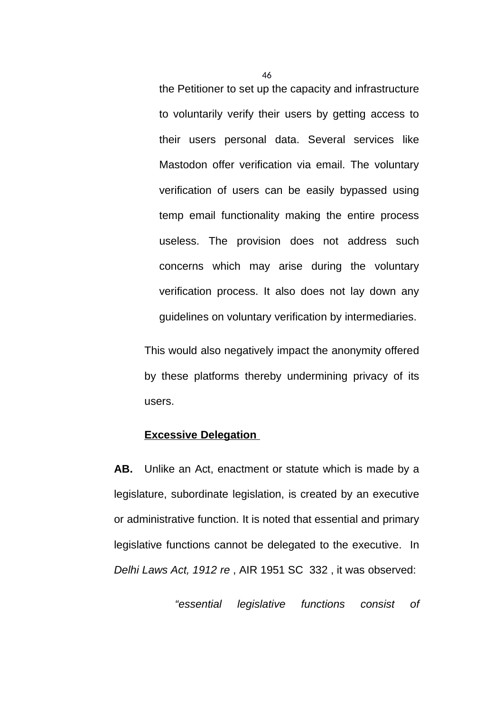the Petitioner to set up the capacity and infrastructure to voluntarily verify their users by getting access to their users personal data. Several services like Mastodon offer verification via email. The voluntary verification of users can be easily bypassed using temp email functionality making the entire process useless. The provision does not address such concerns which may arise during the voluntary verification process. It also does not lay down any guidelines on voluntary verification by intermediaries.

This would also negatively impact the anonymity offered by these platforms thereby undermining privacy of its users.

### **Excessive Delegation**

**AB.** Unlike an Act, enactment or statute which is made by a legislature, subordinate legislation, is created by an executive or administrative function. It is noted that essential and primary legislative functions cannot be delegated to the executive. In *Delhi Laws Act, 1912 re* , AIR 1951 SC 332 , it was observed:

*"essential legislative functions consist of*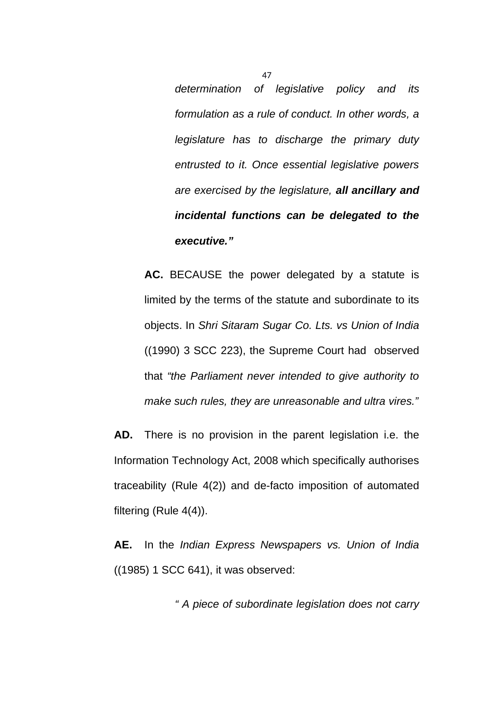*determination of legislative policy and its formulation as a rule of conduct. In other words, a legislature has to discharge the primary duty entrusted to it. Once essential legislative powers are exercised by the legislature, all ancillary and incidental functions can be delegated to the executive."*

**AC.** BECAUSE the power delegated by a statute is limited by the terms of the statute and subordinate to its objects. In *Shri Sitaram Sugar Co. Lts. vs Union of India* ((1990) 3 SCC 223), the Supreme Court had observed that *"the Parliament never intended to give authority to make such rules, they are unreasonable and ultra vires."*

**AD.** There is no provision in the parent legislation i.e. the Information Technology Act, 2008 which specifically authorises traceability (Rule 4(2)) and de-facto imposition of automated filtering (Rule 4(4)).

**AE.** In the *Indian Express Newspapers vs. Union of India* ((1985) 1 SCC 641), it was observed:

*" A piece of subordinate legislation does not carry*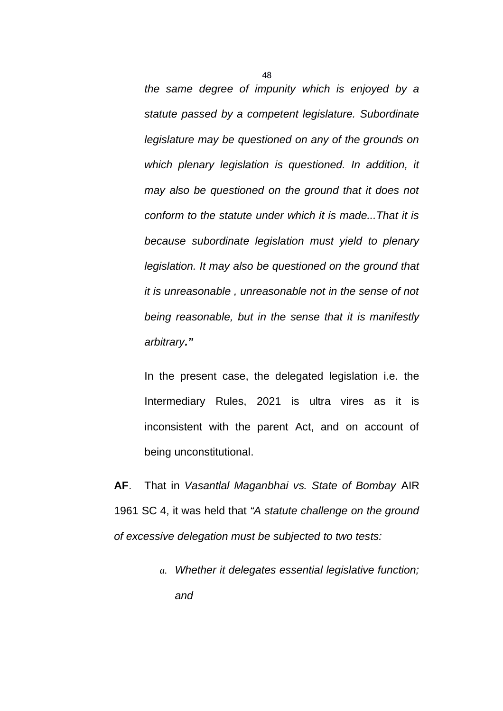*the same degree of impunity which is enjoyed by a statute passed by a competent legislature. Subordinate legislature may be questioned on any of the grounds on which plenary legislation is questioned. In addition, it may also be questioned on the ground that it does not conform to the statute under which it is made...That it is because subordinate legislation must yield to plenary legislation. It may also be questioned on the ground that it is unreasonable , unreasonable not in the sense of not being reasonable, but in the sense that it is manifestly arbitrary."*

In the present case, the delegated legislation i.e. the Intermediary Rules, 2021 is ultra vires as it is inconsistent with the parent Act, and on account of being unconstitutional.

**AF**. That in *Vasantlal Maganbhai vs. State of Bombay* AIR 1961 SC 4, it was held that *"A statute challenge on the ground of excessive delegation must be subjected to two tests:* 

> *a. Whether it delegates essential legislative function; and*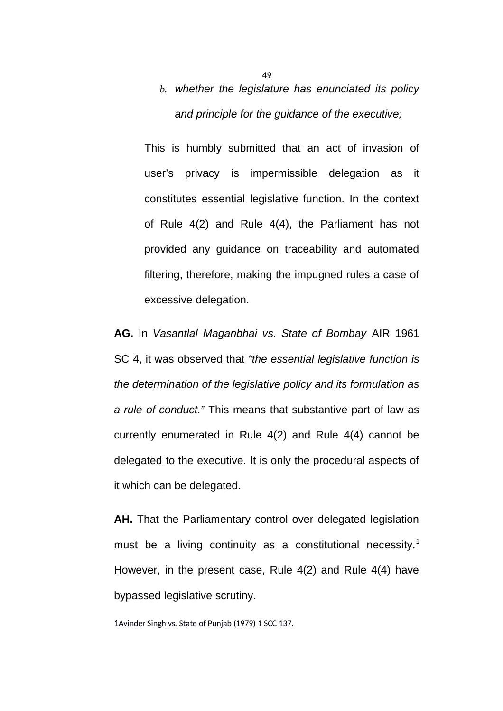# *b. whether the legislature has enunciated its policy and principle for the guidance of the executive;*

This is humbly submitted that an act of invasion of user's privacy is impermissible delegation as it constitutes essential legislative function. In the context of Rule 4(2) and Rule 4(4), the Parliament has not provided any guidance on traceability and automated filtering, therefore, making the impugned rules a case of excessive delegation.

**AG.** In *Vasantlal Maganbhai vs. State of Bombay* AIR 1961 SC 4, it was observed that *"the essential legislative function is the determination of the legislative policy and its formulation as a rule of conduct."* This means that substantive part of law as currently enumerated in Rule 4(2) and Rule 4(4) cannot be delegated to the executive. It is only the procedural aspects of it which can be delegated.

**AH.** That the Parliamentary control over delegated legislation must be a living continuity as a constitutional necessity.<sup>1</sup> However, in the present case, Rule 4(2) and Rule 4(4) have bypassed legislative scrutiny.

1Avinder Singh vs. State of Punjab (1979) 1 SCC 137.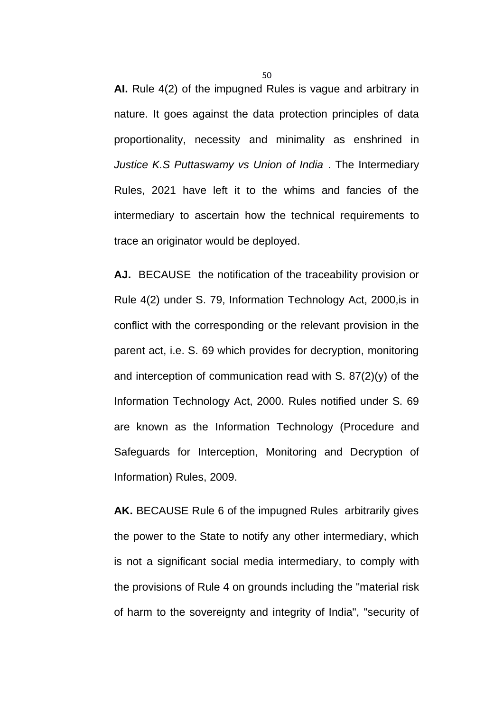**AI.** Rule 4(2) of the impugned Rules is vague and arbitrary in nature. It goes against the data protection principles of data proportionality, necessity and minimality as enshrined in *Justice K.S Puttaswamy vs Union of India* . The Intermediary Rules, 2021 have left it to the whims and fancies of the intermediary to ascertain how the technical requirements to trace an originator would be deployed.

**AJ.** BECAUSE the notification of the traceability provision or Rule 4(2) under S. 79, Information Technology Act, 2000,is in conflict with the corresponding or the relevant provision in the parent act, i.e. S. 69 which provides for decryption, monitoring and interception of communication read with S. 87(2)(y) of the Information Technology Act, 2000. Rules notified under S. 69 are known as the Information Technology (Procedure and Safeguards for Interception, Monitoring and Decryption of Information) Rules, 2009.

**AK.** BECAUSE Rule 6 of the impugned Rules arbitrarily gives the power to the State to notify any other intermediary, which is not a significant social media intermediary, to comply with the provisions of Rule 4 on grounds including the "material risk of harm to the sovereignty and integrity of India", "security of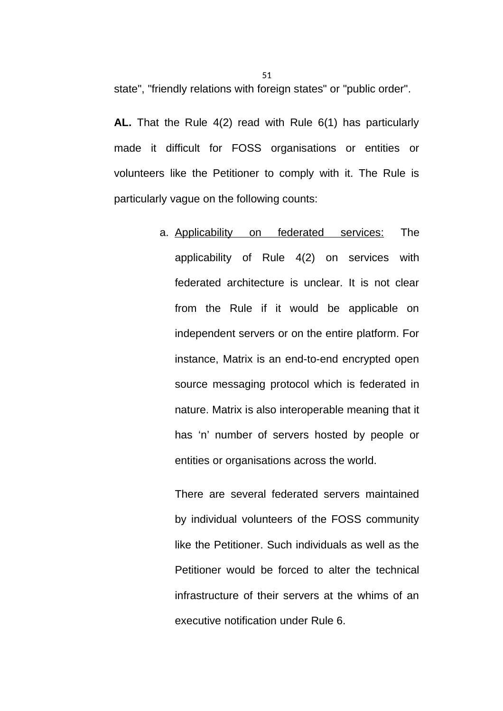state", "friendly relations with foreign states" or "public order".

**AL.** That the Rule 4(2) read with Rule 6(1) has particularly made it difficult for FOSS organisations or entities or volunteers like the Petitioner to comply with it. The Rule is particularly vague on the following counts:

> a. Applicability on federated services: The applicability of Rule 4(2) on services with federated architecture is unclear. It is not clear from the Rule if it would be applicable on independent servers or on the entire platform. For instance, Matrix is an end-to-end encrypted open source messaging protocol which is federated in nature. Matrix is also interoperable meaning that it has 'n' number of servers hosted by people or entities or organisations across the world.

There are several federated servers maintained by individual volunteers of the FOSS community like the Petitioner. Such individuals as well as the Petitioner would be forced to alter the technical infrastructure of their servers at the whims of an executive notification under Rule 6.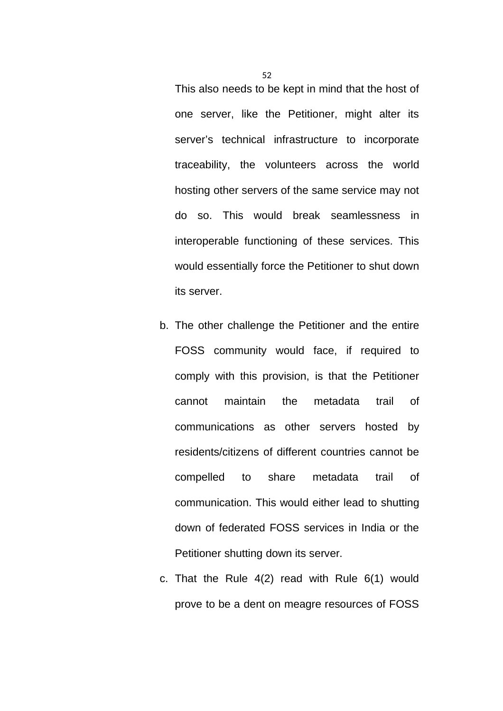This also needs to be kept in mind that the host of one server, like the Petitioner, might alter its server's technical infrastructure to incorporate traceability, the volunteers across the world hosting other servers of the same service may not do so. This would break seamlessness in interoperable functioning of these services. This would essentially force the Petitioner to shut down its server.

- b. The other challenge the Petitioner and the entire FOSS community would face, if required to comply with this provision, is that the Petitioner cannot maintain the metadata trail of communications as other servers hosted by residents/citizens of different countries cannot be compelled to share metadata trail of communication. This would either lead to shutting down of federated FOSS services in India or the Petitioner shutting down its server.
- c. That the Rule 4(2) read with Rule 6(1) would prove to be a dent on meagre resources of FOSS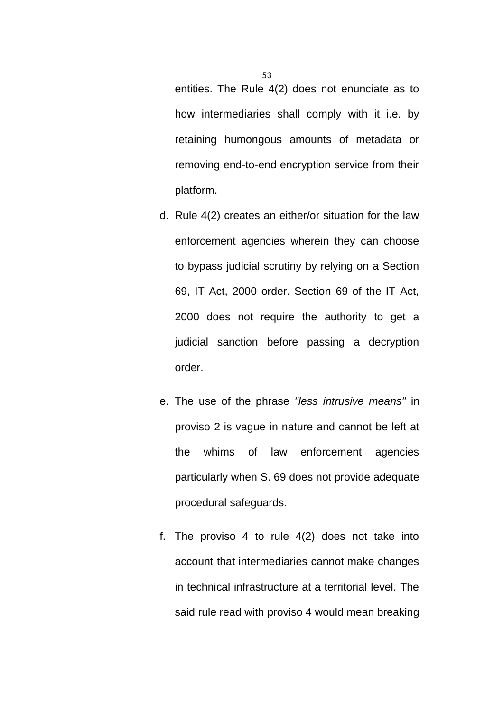entities. The Rule 4(2) does not enunciate as to how intermediaries shall comply with it i.e. by retaining humongous amounts of metadata or removing end-to-end encryption service from their platform.

- d. Rule 4(2) creates an either/or situation for the law enforcement agencies wherein they can choose to bypass judicial scrutiny by relying on a Section 69, IT Act, 2000 order. Section 69 of the IT Act, 2000 does not require the authority to get a judicial sanction before passing a decryption order.
- e. The use of the phrase *"less intrusive means"* in proviso 2 is vague in nature and cannot be left at the whims of law enforcement agencies particularly when S. 69 does not provide adequate procedural safeguards.
- f. The proviso 4 to rule 4(2) does not take into account that intermediaries cannot make changes in technical infrastructure at a territorial level. The said rule read with proviso 4 would mean breaking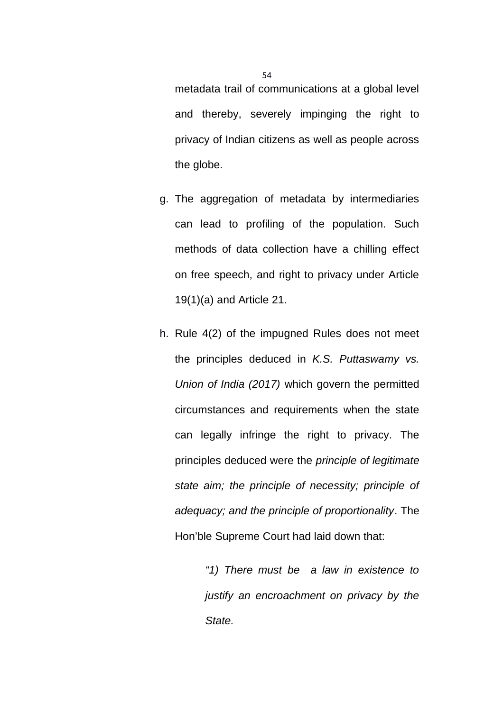metadata trail of communications at a global level and thereby, severely impinging the right to privacy of Indian citizens as well as people across the globe.

- g. The aggregation of metadata by intermediaries can lead to profiling of the population. Such methods of data collection have a chilling effect on free speech, and right to privacy under Article 19(1)(a) and Article 21.
- h. Rule 4(2) of the impugned Rules does not meet the principles deduced in *K.S. Puttaswamy vs. Union of India (2017)* which govern the permitted circumstances and requirements when the state can legally infringe the right to privacy. The principles deduced were the *principle of legitimate state aim; the principle of necessity; principle of adequacy; and the principle of proportionality*. The Hon'ble Supreme Court had laid down that:

*"1) There must be a law in existence to justify an encroachment on privacy by the State.*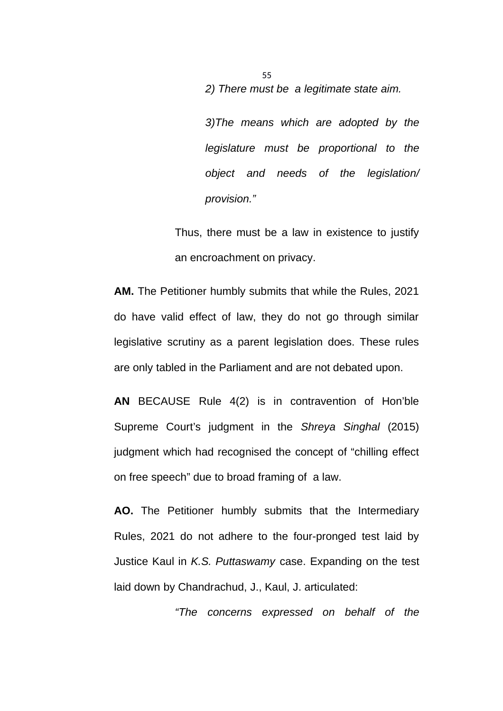*2) There must be a legitimate state aim.* 

*3)The means which are adopted by the legislature must be proportional to the object and needs of the legislation/ provision."*

Thus, there must be a law in existence to justify an encroachment on privacy.

**AM.** The Petitioner humbly submits that while the Rules, 2021 do have valid effect of law, they do not go through similar legislative scrutiny as a parent legislation does. These rules are only tabled in the Parliament and are not debated upon.

**AN** BECAUSE Rule 4(2) is in contravention of Hon'ble Supreme Court's judgment in the *Shreya Singhal* (2015) judgment which had recognised the concept of "chilling effect on free speech" due to broad framing of a law.

**AO.** The Petitioner humbly submits that the Intermediary Rules, 2021 do not adhere to the four-pronged test laid by Justice Kaul in *K.S. Puttaswamy* case. Expanding on the test laid down by Chandrachud, J., Kaul, J. articulated:

*"The concerns expressed on behalf of the*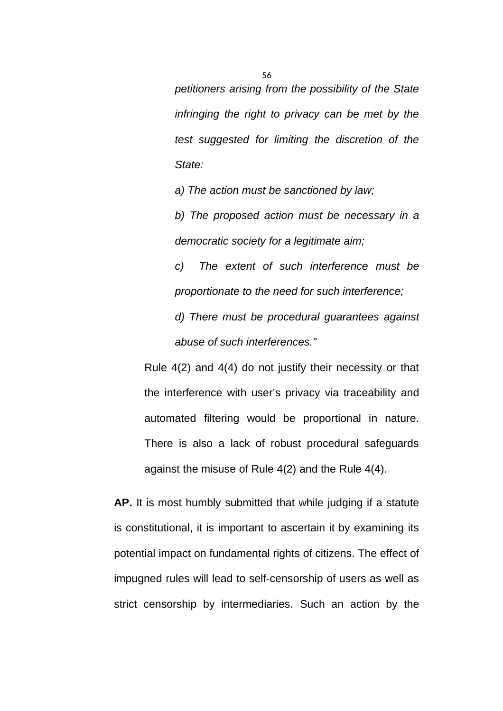*petitioners arising from the possibility of the State infringing the right to privacy can be met by the test suggested for limiting the discretion of the State:*

*a) The action must be sanctioned by law;* 

*b) The proposed action must be necessary in a democratic society for a legitimate aim;* 

*c) The extent of such interference must be proportionate to the need for such interference; d) There must be procedural guarantees against abuse of such interferences."*

Rule 4(2) and 4(4) do not justify their necessity or that the interference with user's privacy via traceability and automated filtering would be proportional in nature. There is also a lack of robust procedural safeguards against the misuse of Rule 4(2) and the Rule 4(4).

**AP.** It is most humbly submitted that while judging if a statute is constitutional, it is important to ascertain it by examining its potential impact on fundamental rights of citizens. The effect of impugned rules will lead to self-censorship of users as well as strict censorship by intermediaries. Such an action by the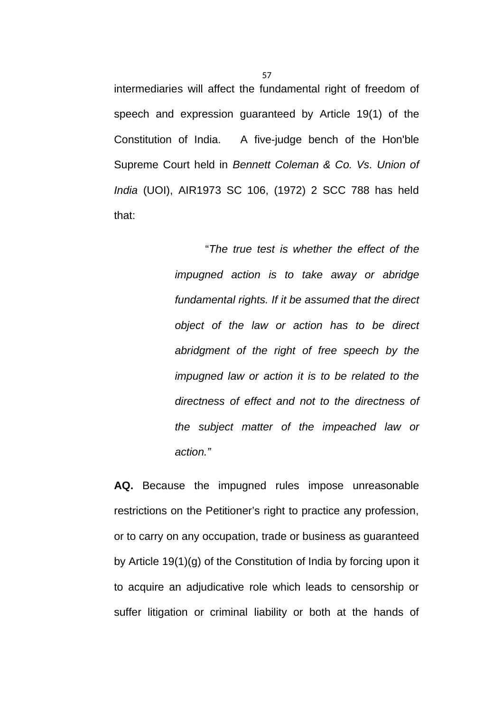intermediaries will affect the fundamental right of freedom of speech and expression guaranteed by Article 19(1) of the Constitution of India. A five-judge bench of the Hon'ble Supreme Court held in *Bennett Coleman & Co. Vs. Union of India* (UOI), AIR1973 SC 106, (1972) 2 SCC 788 has held that:

> "*The true test is whether the effect of the impugned action is to take away or abridge fundamental rights. If it be assumed that the direct object of the law or action has to be direct abridgment of the right of free speech by the impugned law or action it is to be related to the directness of effect and not to the directness of the subject matter of the impeached law or action."*

**AQ.** Because the impugned rules impose unreasonable restrictions on the Petitioner's right to practice any profession, or to carry on any occupation, trade or business as guaranteed by Article 19(1)(g) of the Constitution of India by forcing upon it to acquire an adjudicative role which leads to censorship or suffer litigation or criminal liability or both at the hands of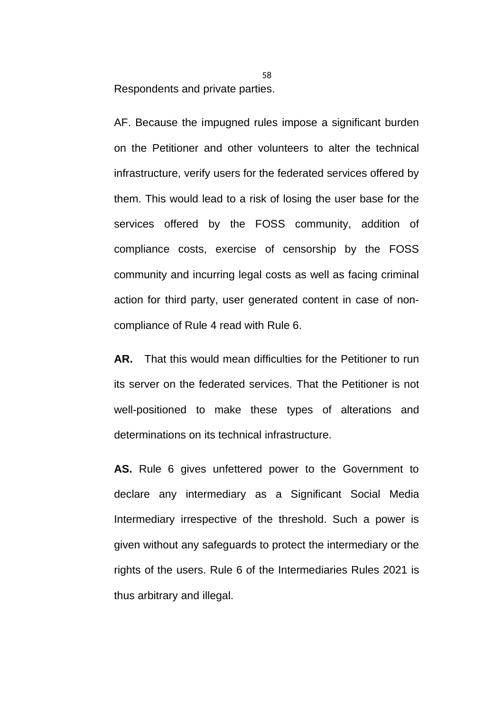Respondents and private parties.

AF. Because the impugned rules impose a significant burden on the Petitioner and other volunteers to alter the technical infrastructure, verify users for the federated services offered by them. This would lead to a risk of losing the user base for the services offered by the FOSS community, addition of compliance costs, exercise of censorship by the FOSS community and incurring legal costs as well as facing criminal action for third party, user generated content in case of noncompliance of Rule 4 read with Rule 6.

**AR.** That this would mean difficulties for the Petitioner to run its server on the federated services. That the Petitioner is not well-positioned to make these types of alterations and determinations on its technical infrastructure.

**AS.** Rule 6 gives unfettered power to the Government to declare any intermediary as a Significant Social Media Intermediary irrespective of the threshold. Such a power is given without any safeguards to protect the intermediary or the rights of the users. Rule 6 of the Intermediaries Rules 2021 is thus arbitrary and illegal.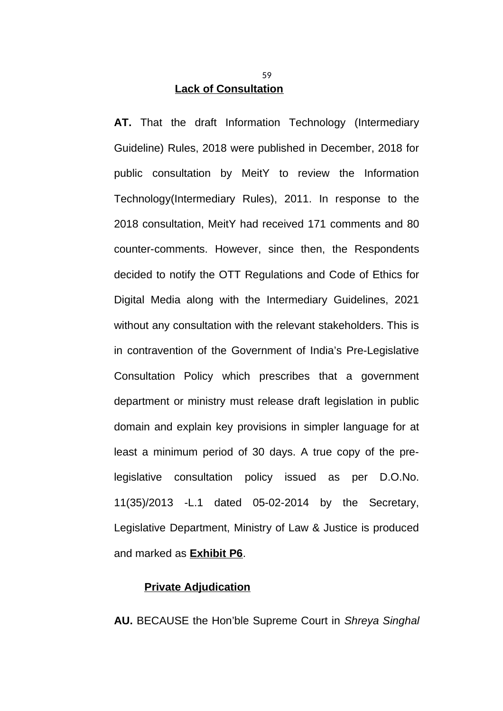### **Lack of Consultation**

**AT.** That the draft Information Technology (Intermediary Guideline) Rules, 2018 were published in December, 2018 for public consultation by MeitY to review the Information Technology(Intermediary Rules), 2011. In response to the 2018 consultation, MeitY had received 171 comments and 80 counter-comments. However, since then, the Respondents decided to notify the OTT Regulations and Code of Ethics for Digital Media along with the Intermediary Guidelines, 2021 without any consultation with the relevant stakeholders. This is in contravention of the Government of India's Pre-Legislative Consultation Policy which prescribes that a government department or ministry must release draft legislation in public domain and explain key provisions in simpler language for at least a minimum period of 30 days. A true copy of the prelegislative consultation policy issued as per D.O.No. 11(35)/2013 -L.1 dated 05-02-2014 by the Secretary, Legislative Department, Ministry of Law & Justice is produced and marked as **Exhibit P6**.

### **Private Adjudication**

**AU.** BECAUSE the Hon'ble Supreme Court in *Shreya Singhal*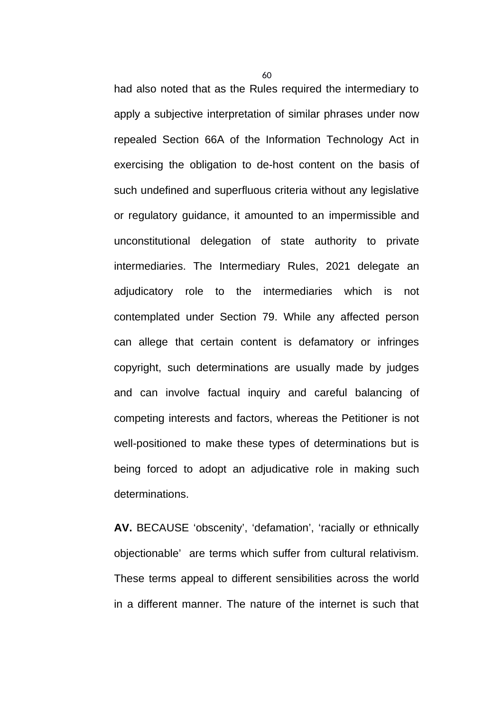had also noted that as the Rules required the intermediary to apply a subjective interpretation of similar phrases under now repealed Section 66A of the Information Technology Act in exercising the obligation to de-host content on the basis of such undefined and superfluous criteria without any legislative or regulatory guidance, it amounted to an impermissible and unconstitutional delegation of state authority to private intermediaries. The Intermediary Rules, 2021 delegate an adjudicatory role to the intermediaries which is not contemplated under Section 79. While any affected person can allege that certain content is defamatory or infringes copyright, such determinations are usually made by judges and can involve factual inquiry and careful balancing of competing interests and factors, whereas the Petitioner is not well-positioned to make these types of determinations but is being forced to adopt an adjudicative role in making such determinations.

**AV.** BECAUSE 'obscenity', 'defamation', 'racially or ethnically objectionable' are terms which suffer from cultural relativism. These terms appeal to different sensibilities across the world in a different manner. The nature of the internet is such that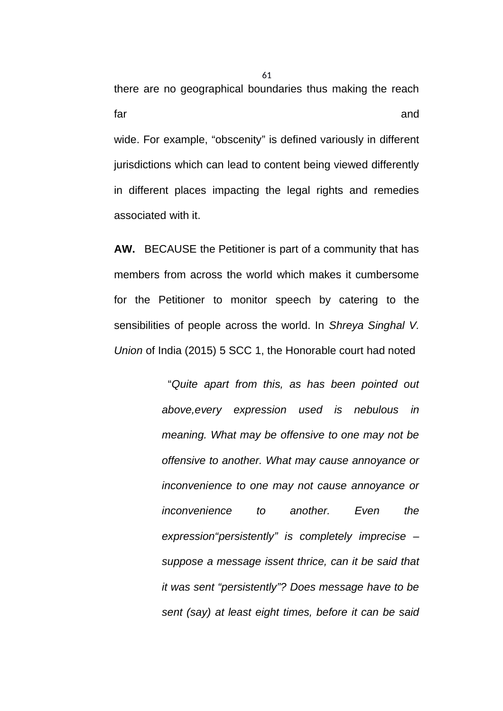there are no geographical boundaries thus making the reach far and and a structure of the structure of the structure of the structure of the structure of the structure of the structure of the structure of the structure of the structure of the structure of the structure of the stru wide. For example, "obscenity" is defined variously in different jurisdictions which can lead to content being viewed differently in different places impacting the legal rights and remedies associated with it.

**AW.** BECAUSE the Petitioner is part of a community that has members from across the world which makes it cumbersome for the Petitioner to monitor speech by catering to the sensibilities of people across the world. In *Shreya Singhal V. Union* of India (2015) 5 SCC 1, the Honorable court had noted

> "*Quite apart from this, as has been pointed out above,every expression used is nebulous in meaning. What may be offensive to one may not be offensive to another. What may cause annoyance or inconvenience to one may not cause annoyance or inconvenience to another. Even the expression"persistently" is completely imprecise – suppose a message issent thrice, can it be said that it was sent "persistently"? Does message have to be sent (say) at least eight times, before it can be said*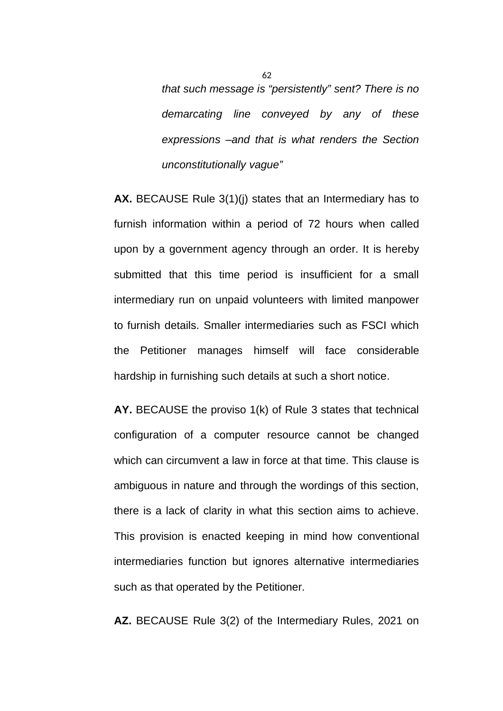*that such message is "persistently" sent? There is no demarcating line conveyed by any of these expressions –and that is what renders the Section unconstitutionally vague"*

**AX.** BECAUSE Rule 3(1)(j) states that an Intermediary has to furnish information within a period of 72 hours when called upon by a government agency through an order. It is hereby submitted that this time period is insufficient for a small intermediary run on unpaid volunteers with limited manpower to furnish details. Smaller intermediaries such as FSCI which the Petitioner manages himself will face considerable hardship in furnishing such details at such a short notice.

**AY.** BECAUSE the proviso 1(k) of Rule 3 states that technical configuration of a computer resource cannot be changed which can circumvent a law in force at that time. This clause is ambiguous in nature and through the wordings of this section, there is a lack of clarity in what this section aims to achieve. This provision is enacted keeping in mind how conventional intermediaries function but ignores alternative intermediaries such as that operated by the Petitioner.

**AZ.** BECAUSE Rule 3(2) of the Intermediary Rules, 2021 on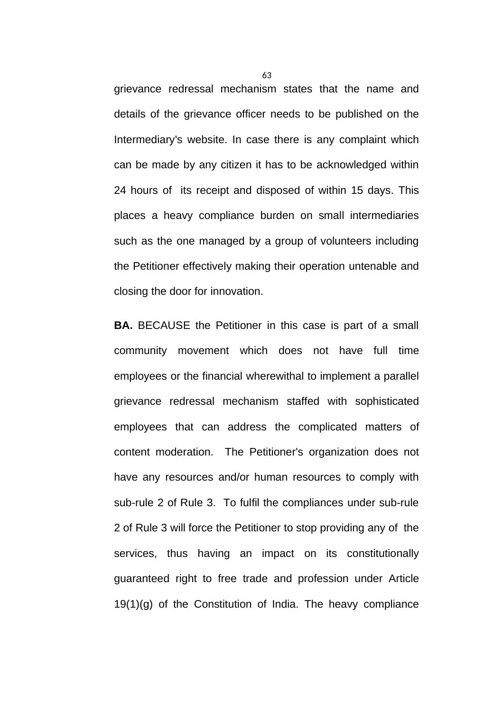grievance redressal mechanism states that the name and details of the grievance officer needs to be published on the Intermediary's website. In case there is any complaint which can be made by any citizen it has to be acknowledged within 24 hours of its receipt and disposed of within 15 days. This places a heavy compliance burden on small intermediaries such as the one managed by a group of volunteers including the Petitioner effectively making their operation untenable and closing the door for innovation.

**BA.** BECAUSE the Petitioner in this case is part of a small community movement which does not have full time employees or the financial wherewithal to implement a parallel grievance redressal mechanism staffed with sophisticated employees that can address the complicated matters of content moderation. The Petitioner's organization does not have any resources and/or human resources to comply with sub-rule 2 of Rule 3. To fulfil the compliances under sub-rule 2 of Rule 3 will force the Petitioner to stop providing any of the services, thus having an impact on its constitutionally guaranteed right to free trade and profession under Article  $19(1)(q)$  of the Constitution of India. The heavy compliance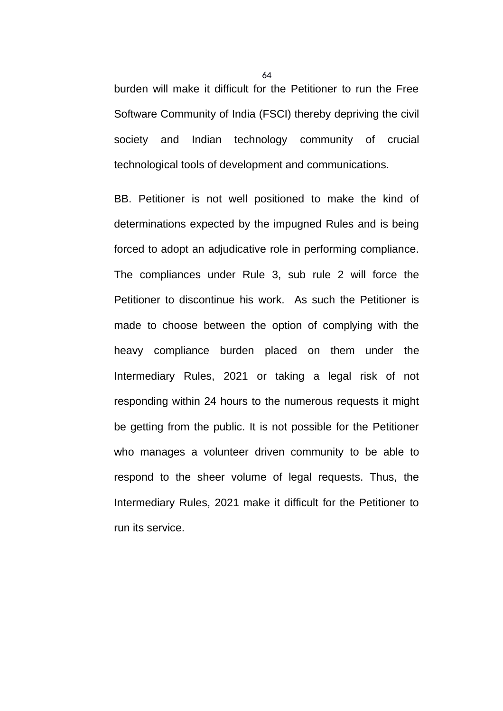burden will make it difficult for the Petitioner to run the Free Software Community of India (FSCI) thereby depriving the civil society and Indian technology community of crucial technological tools of development and communications.

BB. Petitioner is not well positioned to make the kind of determinations expected by the impugned Rules and is being forced to adopt an adjudicative role in performing compliance. The compliances under Rule 3, sub rule 2 will force the Petitioner to discontinue his work. As such the Petitioner is made to choose between the option of complying with the heavy compliance burden placed on them under the Intermediary Rules, 2021 or taking a legal risk of not responding within 24 hours to the numerous requests it might be getting from the public. It is not possible for the Petitioner who manages a volunteer driven community to be able to respond to the sheer volume of legal requests. Thus, the Intermediary Rules, 2021 make it difficult for the Petitioner to run its service.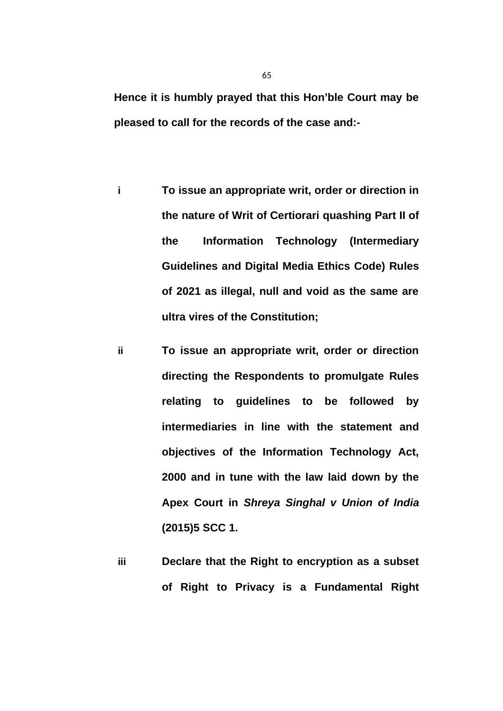**Hence it is humbly prayed that this Hon'ble Court may be pleased to call for the records of the case and:-**

- **i To issue an appropriate writ, order or direction in the nature of Writ of Certiorari quashing Part II of the Information Technology (Intermediary Guidelines and Digital Media Ethics Code) Rules of 2021 as illegal, null and void as the same are ultra vires of the Constitution;**
- **ii To issue an appropriate writ, order or direction directing the Respondents to promulgate Rules relating to guidelines to be followed by intermediaries in line with the statement and objectives of the Information Technology Act, 2000 and in tune with the law laid down by the Apex Court in** *Shreya Singhal v Union of India* **(2015)5 SCC 1.**
- **iii Declare that the Right to encryption as a subset of Right to Privacy is a Fundamental Right**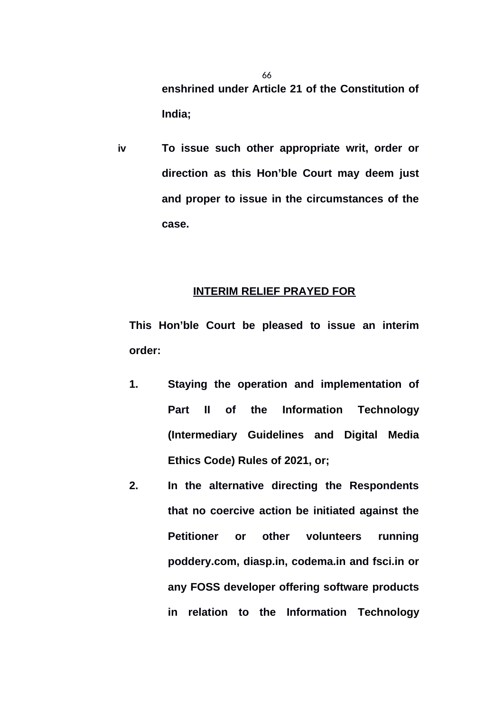**enshrined under Article 21 of the Constitution of India;**

**iv To issue such other appropriate writ, order or direction as this Hon'ble Court may deem just and proper to issue in the circumstances of the case.**

### **INTERIM RELIEF PRAYED FOR**

**This Hon'ble Court be pleased to issue an interim order:**

- **1. Staying the operation and implementation of Part II of the Information Technology (Intermediary Guidelines and Digital Media Ethics Code) Rules of 2021, or;**
- **2. In the alternative directing the Respondents that no coercive action be initiated against the Petitioner or other volunteers running poddery.com, diasp.in, codema.in and fsci.in or any FOSS developer offering software products in relation to the Information Technology**